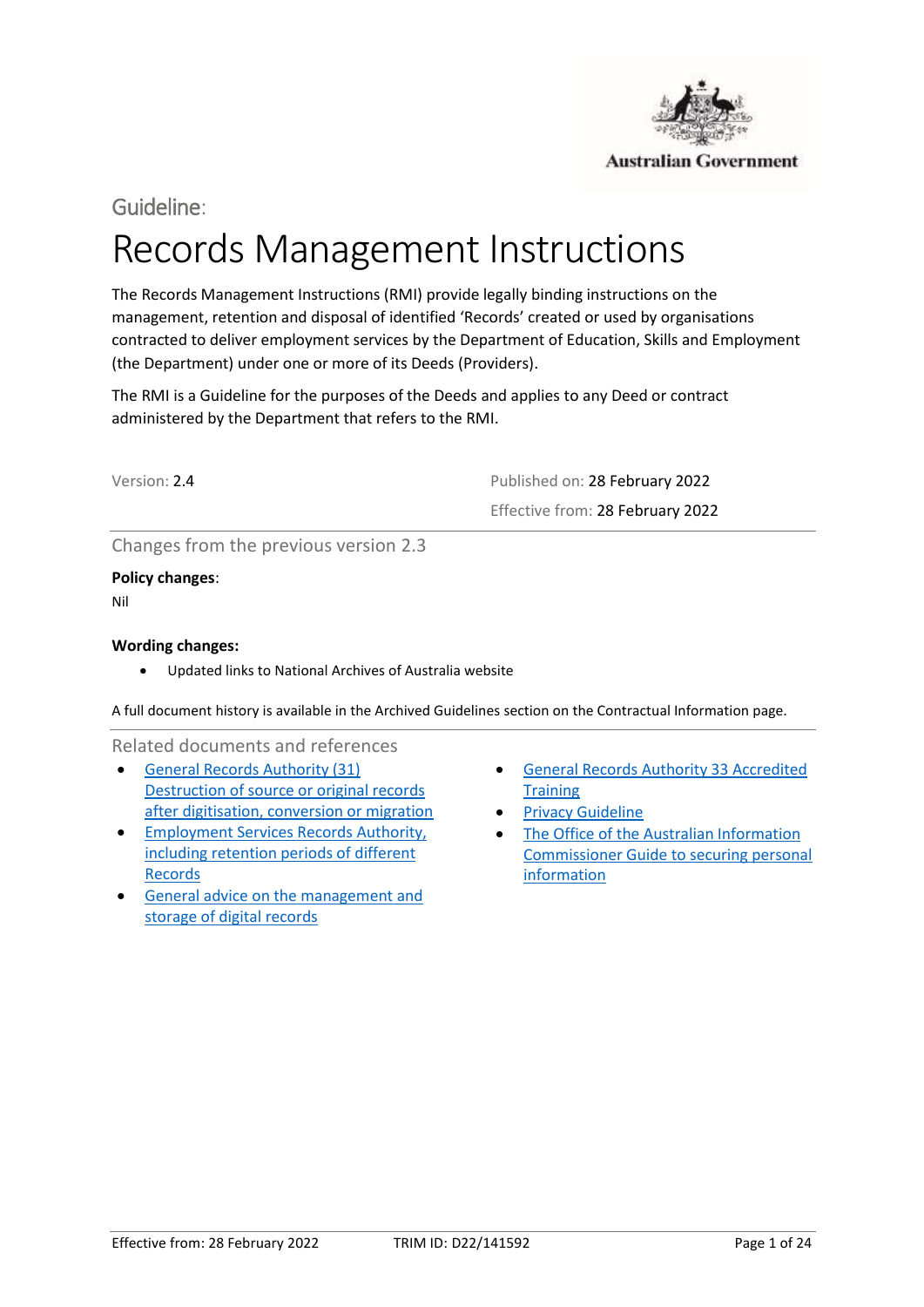

# Guideline:

# Records Management Instructions

The Records Management Instructions (RMI) provide legally binding instructions on the management, retention and disposal of identified 'Records' created or used by organisations contracted to deliver employment services by the Department of Education, Skills and Employment (the Department) under one or more of its Deeds (Providers).

The RMI is a Guideline for the purposes of the Deeds and applies to any Deed or contract administered by the Department that refers to the RMI.

Version: 2.4 Published on: 28 February 2022 Effective from: 28 February 2022

Changes from the previous version 2.3

**Policy changes**: Nil

#### **Wording changes:**

• Updated links to National Archives of Australia website

A full document history is available in the Archived Guidelines section on the Contractual Information page.

Related documents and references

- • [General Records Authority \(31\)](https://www.naa.gov.au/information-management/records-authorities/types-records-authorities/general-records-authority-31)  [Destruction of source or original records](https://www.naa.gov.au/information-management/records-authorities/types-records-authorities/general-records-authority-31)  [after digitisation, conversion or migration](https://www.naa.gov.au/information-management/records-authorities/types-records-authorities/general-records-authority-31)
- [Employment Services Records Authority,](https://www.naa.gov.au/information-management/records-authorities/agency-specific-records-authorities)  [including retention periods of different](https://www.naa.gov.au/information-management/records-authorities/agency-specific-records-authorities)  [Records](https://www.naa.gov.au/information-management/records-authorities/agency-specific-records-authorities)
- [General advice on the management and](https://www.naa.gov.au/information-management/storing-and-preserving-information/storing-information/outsourcing-digital-storage)  storage of digital records
- [General Records Authority 33 Accredited](https://www.naa.gov.au/information-management/records-authorities/types-records-authorities/general-records-authority-33)  **Training**
- **Privacy Guideline**
- The Office of the Australian Information [Commissioner Guide to securing personal](https://www.oaic.gov.au/agencies-and-organisations/guides/guide-to-securing-personal-information)  [information](https://www.oaic.gov.au/agencies-and-organisations/guides/guide-to-securing-personal-information)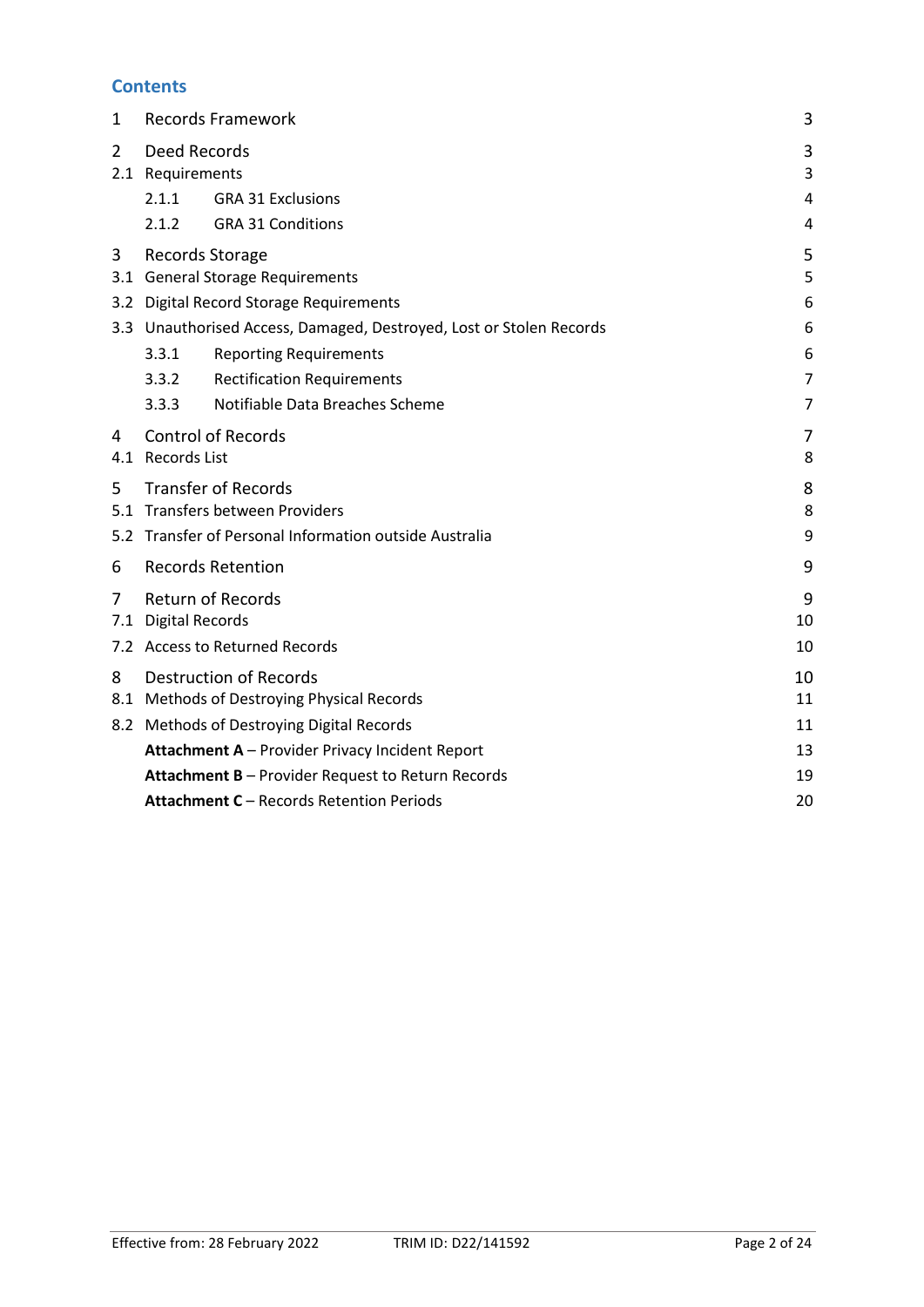# **Contents**

| 1              |                                                             | <b>Records Framework</b>                                            | 3              |  |
|----------------|-------------------------------------------------------------|---------------------------------------------------------------------|----------------|--|
| $\overline{2}$ | Deed Records<br>2.1 Requirements                            |                                                                     | 3<br>3         |  |
|                | 2.1.1                                                       | <b>GRA 31 Exclusions</b>                                            | 4              |  |
|                | 2.1.2                                                       | <b>GRA 31 Conditions</b>                                            | 4              |  |
| 3              | Records Storage                                             |                                                                     | 5              |  |
|                |                                                             | 3.1 General Storage Requirements                                    | 5              |  |
|                |                                                             | 3.2 Digital Record Storage Requirements                             | 6              |  |
|                |                                                             | 3.3 Unauthorised Access, Damaged, Destroyed, Lost or Stolen Records | 6              |  |
|                | 3.3.1                                                       | <b>Reporting Requirements</b>                                       | 6              |  |
|                | 3.3.2                                                       | <b>Rectification Requirements</b>                                   | 7              |  |
|                | 3.3.3                                                       | Notifiable Data Breaches Scheme                                     | $\overline{7}$ |  |
| 4              |                                                             | <b>Control of Records</b>                                           | 7              |  |
|                | 4.1 Records List                                            |                                                                     | 8              |  |
| 5              |                                                             | <b>Transfer of Records</b>                                          | 8              |  |
|                |                                                             | 5.1 Transfers between Providers                                     | 8              |  |
|                | 9<br>5.2 Transfer of Personal Information outside Australia |                                                                     |                |  |
| 6              |                                                             | <b>Records Retention</b>                                            | 9              |  |
| 7              |                                                             | <b>Return of Records</b>                                            | 9              |  |
| 7.1            | <b>Digital Records</b>                                      |                                                                     | 10             |  |
|                |                                                             | 7.2 Access to Returned Records                                      | 10             |  |
| 8              |                                                             | <b>Destruction of Records</b>                                       | 10             |  |
| 8.1            |                                                             | Methods of Destroying Physical Records                              | 11             |  |
|                |                                                             | 8.2 Methods of Destroying Digital Records                           | 11             |  |
|                |                                                             | Attachment A - Provider Privacy Incident Report                     | 13             |  |
|                |                                                             | Attachment B - Provider Request to Return Records                   | 19             |  |
|                |                                                             | Attachment C - Records Retention Periods                            | 20             |  |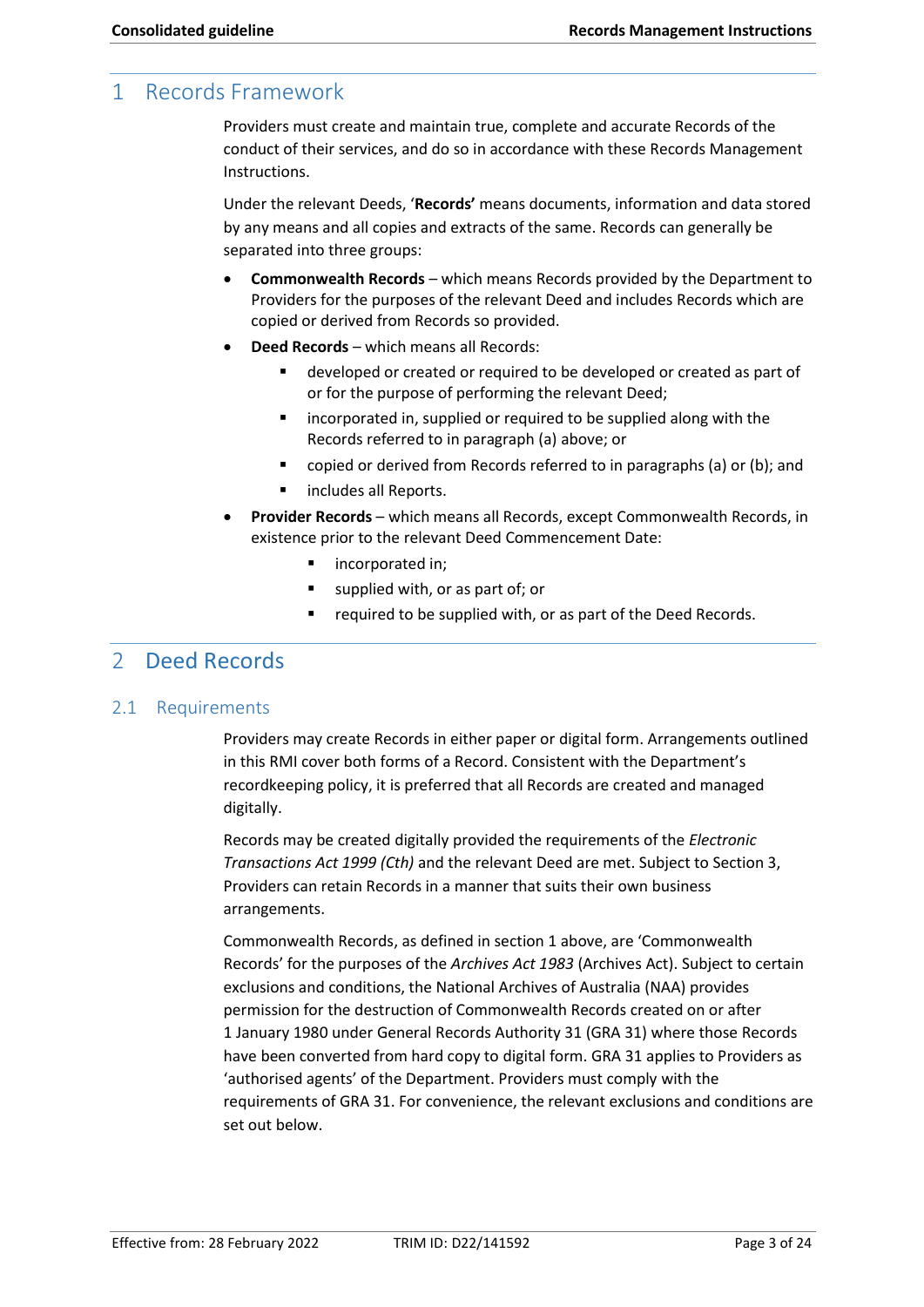# 1 Records Framework

Providers must create and maintain true, complete and accurate Records of the conduct of their services, and do so in accordance with these Records Management Instructions.

Under the relevant Deeds, '**Records'** means documents, information and data stored by any means and all copies and extracts of the same. Records can generally be separated into three groups:

- **Commonwealth Records**  which means Records provided by the Department to Providers for the purposes of the relevant Deed and includes Records which are copied or derived from Records so provided.
- **Deed Records**  which means all Records:
	- developed or created or required to be developed or created as part of or for the purpose of performing the relevant Deed;
	- incorporated in, supplied or required to be supplied along with the Records referred to in paragraph (a) above; or
	- copied or derived from Records referred to in paragraphs (a) or (b); and
	- includes all Reports.
- **Provider Records**  which means all Records, except Commonwealth Records, in existence prior to the relevant Deed Commencement Date:
	- incorporated in;
	- supplied with, or as part of; or
	- required to be supplied with, or as part of the Deed Records.

# <span id="page-2-0"></span>2 Deed Records

### <span id="page-2-1"></span>2.1 Requirements

Providers may create Records in either paper or digital form. Arrangements outlined in this RMI cover both forms of a Record. Consistent with the Department's recordkeeping policy, it is preferred that all Records are created and managed digitally.

Records may be created digitally provided the requirements of the *Electronic Transactions Act 1999 (Cth)* and the relevant Deed are met. Subject to Section 3, Providers can retain Records in a manner that suits their own business arrangements.

 Records' for the purposes of the *Archives Act 1983* (Archives Act). Subject to certain Commonwealth Records, as defined in section 1 above, are 'Commonwealth exclusions and conditions, the National Archives of Australia (NAA) provides permission for the destruction of Commonwealth Records created on or after 1 January 1980 under General Records Authority 31 (GRA 31) where those Records have been converted from hard copy to digital form. GRA 31 applies to Providers as 'authorised agents' of the Department. Providers must comply with the requirements of GRA 31. For convenience, the relevant exclusions and conditions are set out below.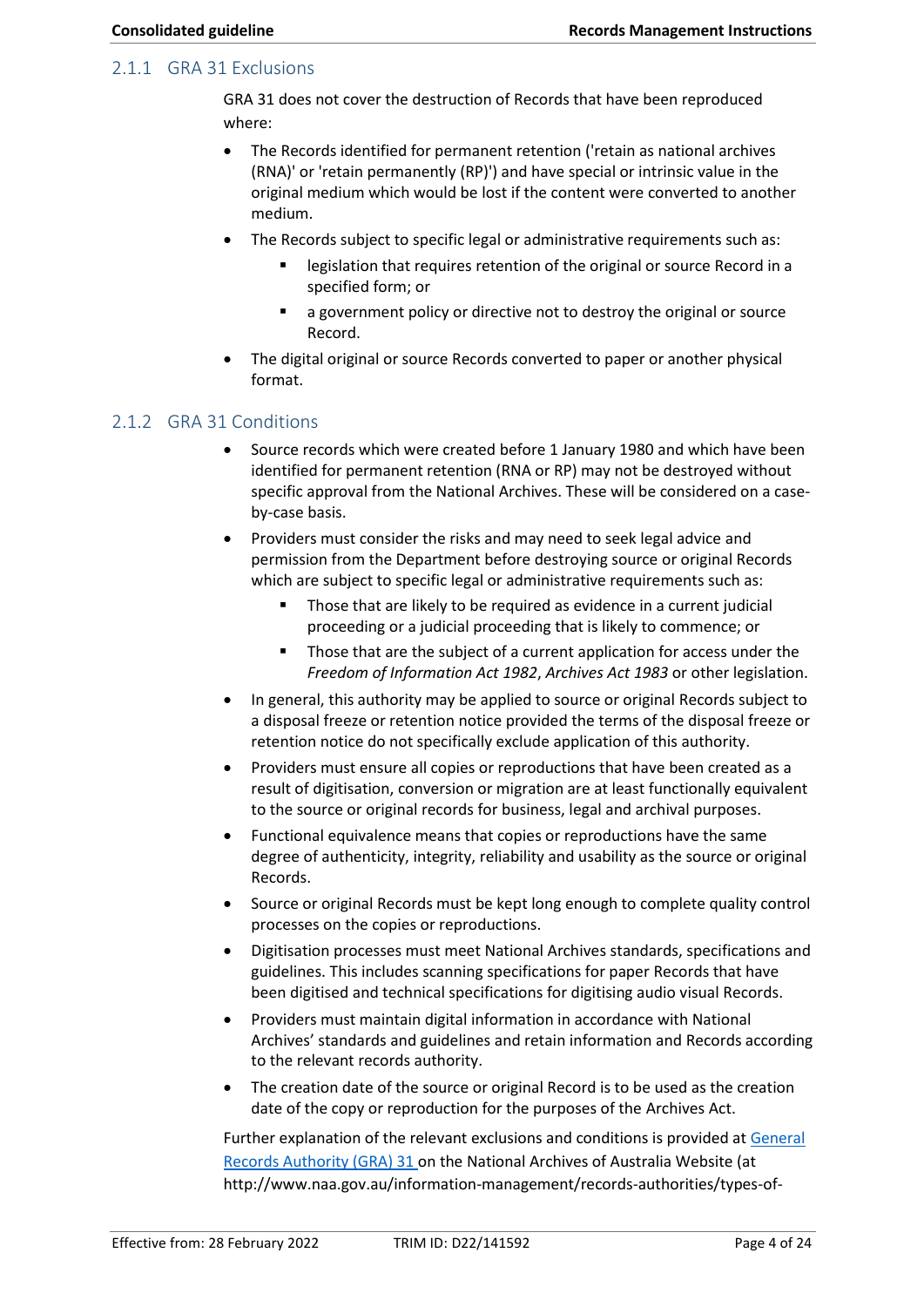#### <span id="page-3-0"></span>2.1.1 GRA 31 Exclusions

GRA 31 does not cover the destruction of Records that have been reproduced where:

- original medium which would be lost if the content were converted to another • The Records identified for permanent retention ('retain as national archives (RNA)' or 'retain permanently (RP)') and have special or intrinsic value in the medium.
- The Records subject to specific legal or administrative requirements such as:
	- legislation that requires retention of the original or source Record in a specified form; or
	- a government policy or directive not to destroy the original or source Record.
- The digital original or source Records converted to paper or another physical format.

## 2.1.2 GRA 31 Conditions

- Source records which were created before 1 January 1980 and which have been identified for permanent retention (RNA or RP) may not be destroyed without specific approval from the National Archives. These will be considered on a caseby-case basis.
- Providers must consider the risks and may need to seek legal advice and permission from the Department before destroying source or original Records which are subject to specific legal or administrative requirements such as:
	- Those that are likely to be required as evidence in a current judicial proceeding or a judicial proceeding that is likely to commence; or
	- Those that are the subject of a current application for access under the *Freedom of Information Act 1982*, *Archives Act 1983* or other legislation.
- In general, this authority may be applied to source or original Records subject to a disposal freeze or retention notice provided the terms of the disposal freeze or retention notice do not specifically exclude application of this authority.
- result of digitisation, conversion or migration are at least functionally equivalent • Providers must ensure all copies or reproductions that have been created as a to the source or original records for business, legal and archival purposes.
- Functional equivalence means that copies or reproductions have the same degree of authenticity, integrity, reliability and usability as the source or original Records.
- Source or original Records must be kept long enough to complete quality control processes on the copies or reproductions.
- Digitisation processes must meet National Archives standards, specifications and guidelines. This includes scanning specifications for paper Records that have been digitised and technical specifications for digitising audio visual Records.
- Providers must maintain digital information in accordance with National Archives' standards and guidelines and retain information and Records according to the relevant records authority.
- date of the copy or reproduction for the purposes of the Archives Act. • The creation date of the source or original Record is to be used as the creation

Further explanation of the relevant exclusions and conditions is provided a[t General](https://www.naa.gov.au/information-management/records-authorities/types-records-authorities/general-records-authority-31)  [Records Authority \(GRA\) 31](https://www.naa.gov.au/information-management/records-authorities/types-records-authorities/general-records-authority-31) on the National Archives of Australia Website (at [http://www.naa.gov.au/information-management/records-authorities/types-of-](http://www.naa.gov.au/information-management/records-authorities/types-of-records-authorities/GRA/GRA31/index.aspx)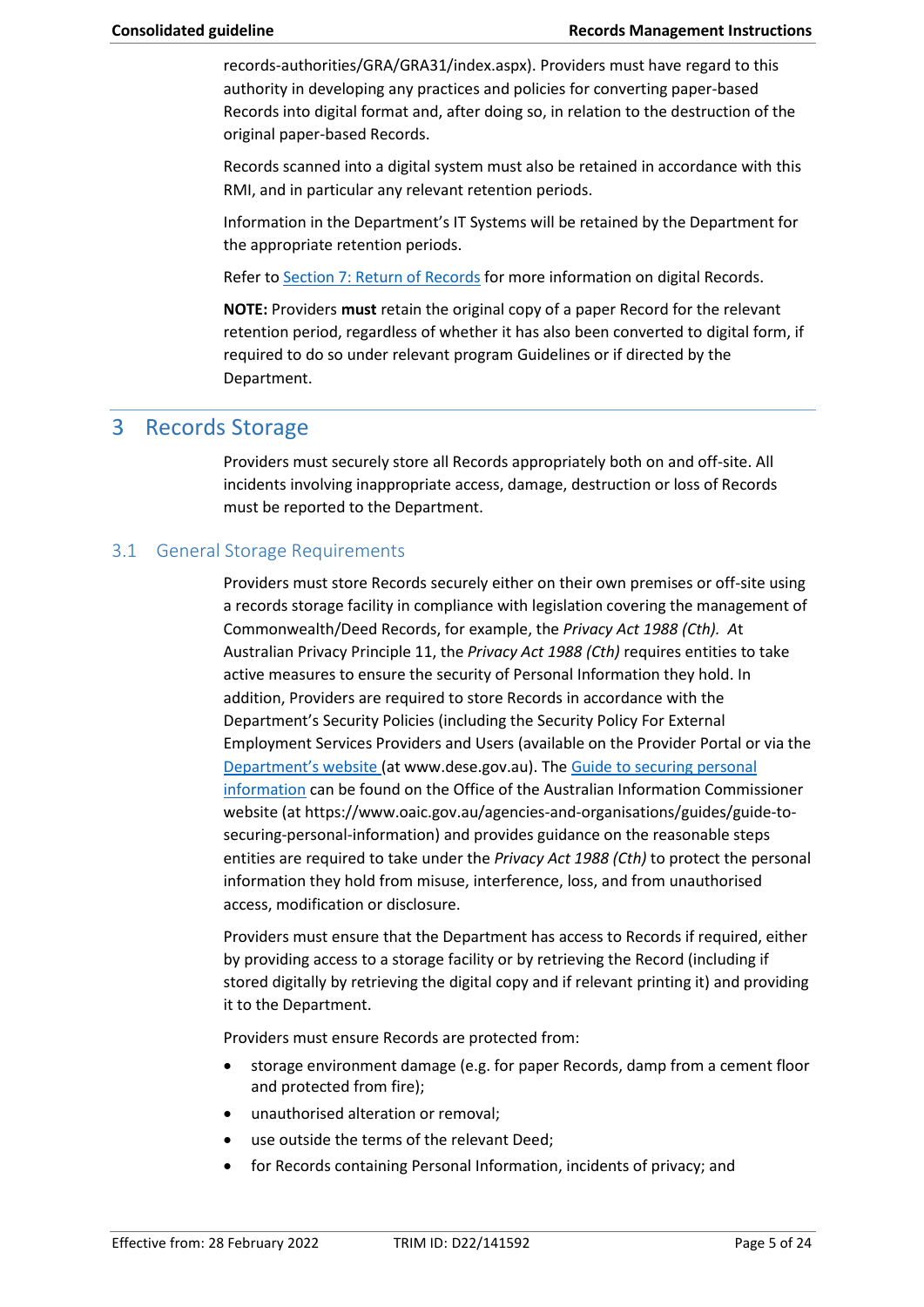<span id="page-4-0"></span>[records-authorities/GRA/GRA31/index.aspx\)](http://www.naa.gov.au/information-management/records-authorities/types-of-records-authorities/GRA/GRA31/index.aspx). Providers must have regard to this authority in developing any practices and policies for converting paper-based Records into digital format and, after doing so, in relation to the destruction of the original paper-based Records.

Records scanned into a digital system must also be retained in accordance with this RMI, and in particular any relevant retention periods.

Information in the Department's IT Systems will be retained by the Department for the appropriate retention periods.

Refer t[o Section 7: Return of Records](#page-8-1) for more information on digital Records.

**NOTE:** Providers **must** retain the original copy of a paper Record for the relevant retention period, regardless of whether it has also been converted to digital form, if required to do so under relevant program Guidelines or if directed by the Department.

# 3 Records Storage

Providers must securely store all Records appropriately both on and off-site. All incidents involving inappropriate access, damage, destruction or loss of Records must be reported to the Department.

## 3.1 General Storage Requirements

 Commonwealth/Deed Records, for example, the *Privacy Act 1988 (Cth). A*t Australian Privacy Principle 11, the *Privacy Act 1988 (Cth)* requires entities to take Providers must store Records securely either on their own premises or off-site using a records storage facility in compliance with legislation covering the management of active measures to ensure the security of Personal Information they hold. In addition, Providers are required to store Records in accordance with the Department's Security Policies (including the Security Policy For External Employment Services Providers and Users (available on the Provider Portal or via the [Department's website](https://www.dese.gov.au/) (at [www.dese.gov.au\)](www.dese.gov.au). The [Guide to securing personal](https://www.oaic.gov.au/agencies-and-organisations/guides/guide-to-securing-personal-information)  [information](https://www.oaic.gov.au/agencies-and-organisations/guides/guide-to-securing-personal-information) can be found on the Office of the Australian Information Commissioner website (a[t https://www.oaic.gov.au/agencies-and-organisations/guides/guide-to](https://www.oaic.gov.au/agencies-and-organisations/guides/guide-to-securing-personal-information)[securing-personal-information\)](https://www.oaic.gov.au/agencies-and-organisations/guides/guide-to-securing-personal-information) and provides guidance on the reasonable steps entities are required to take under the *Privacy Act 1988 (Cth)* to protect the personal information they hold from misuse, interference, loss, and from unauthorised access, modification or disclosure.

Providers must ensure that the Department has access to Records if required, either by providing access to a storage facility or by retrieving the Record (including if stored digitally by retrieving the digital copy and if relevant printing it) and providing it to the Department.

Providers must ensure Records are protected from:

- storage environment damage (e.g. for paper Records, damp from a cement floor and protected from fire);
- unauthorised alteration or removal;
- use outside the terms of the relevant Deed;
- for Records containing Personal Information, incidents of privacy; and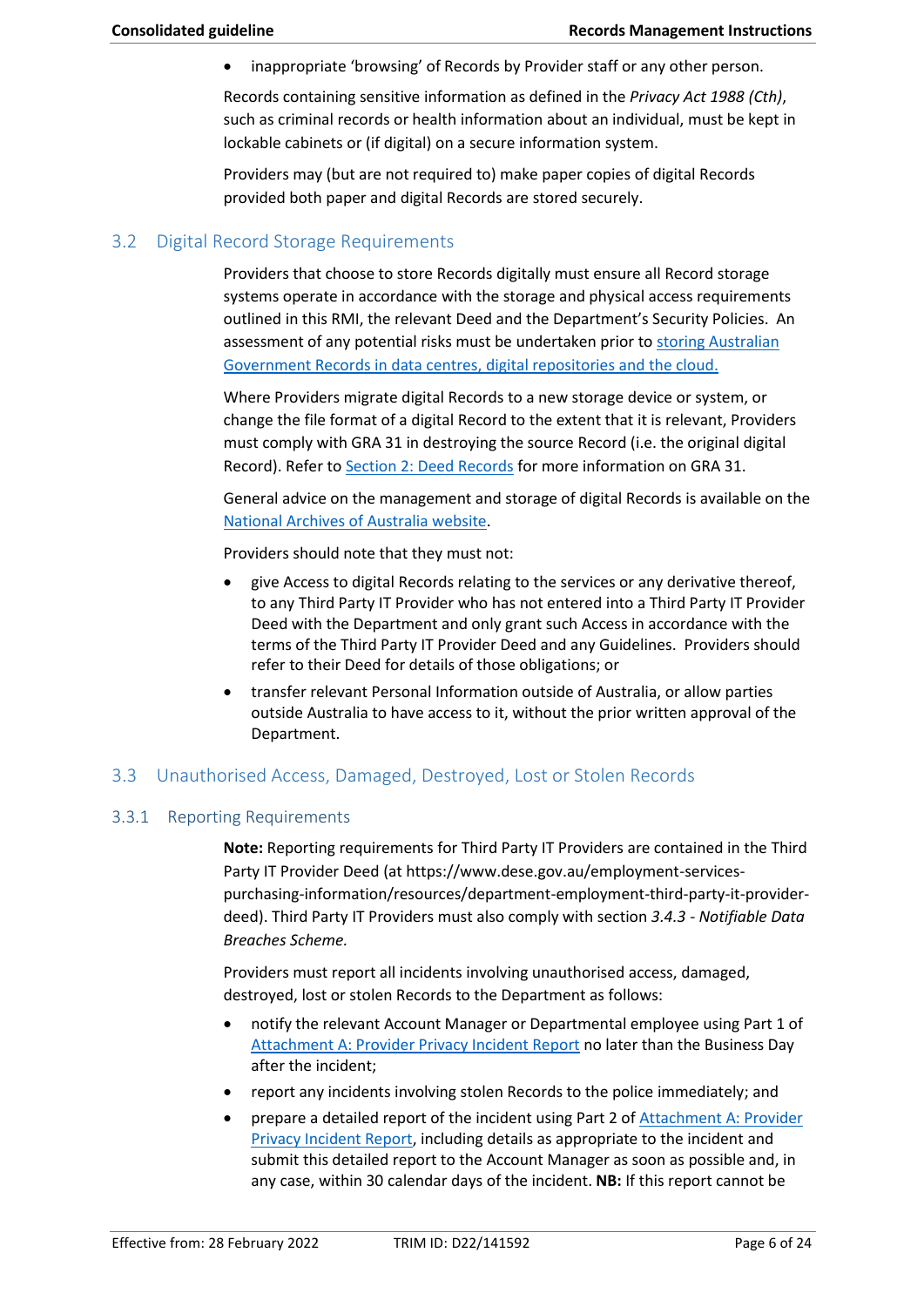inappropriate 'browsing' of Records by Provider staff or any other person.

Records containing sensitive information as defined in the *Privacy Act 1988 (Cth)*, such as criminal records or health information about an individual, must be kept in lockable cabinets or (if digital) on a secure information system.

Providers may (but are not required to) make paper copies of digital Records provided both paper and digital Records are stored securely.

#### 3.2 Digital Record Storage Requirements

 outlined in this RMI, the relevant Deed and the Department's Security Policies. An Providers that choose to store Records digitally must ensure all Record storage systems operate in accordance with the storage and physical access requirements assessment of any potential risks must be undertaken prior to [storing Australian](https://www.naa.gov.au/information-management/storing-and-preserving-information/storing-information/outsourcing-digital-storage)  [Government Records in data centres, digital repositories and the cloud.](https://www.naa.gov.au/information-management/storing-and-preserving-information/storing-information/outsourcing-digital-storage)

 must comply with GRA 31 in destroying the source Record (i.e. the original digital Where Providers migrate digital Records to a new storage device or system, or change the file format of a digital Record to the extent that it is relevant, Providers Record). Refer t[o Section 2: Deed Records](#page-2-0) for more information on GRA 31.

General advice on the management and storage of digital Records is available on the [National Archives of Australia website.](https://www.naa.gov.au/information-management)

Providers should note that they must not:

- give Access to digital Records relating to the services or any derivative thereof, to any Third Party IT Provider who has not entered into a Third Party IT Provider Deed with the Department and only grant such Access in accordance with the terms of the Third Party IT Provider Deed and any Guidelines. Providers should refer to their Deed for details of those obligations; or
- transfer relevant Personal Information outside of Australia, or allow parties outside Australia to have access to it, without the prior written approval of the Department.

# <span id="page-5-0"></span>3.3 Unauthorised Access, Damaged, Destroyed, Lost or Stolen Records

#### 3.3.1 Reporting Requirements

 deed). Third Party IT Providers must also comply with section *3.4.3 - Notifiable Data*  **Note:** Reporting requirements for Third Party IT Providers are contained in th[e Third](https://docs.employment.gov.au/node/34977)  [Party IT Provider Deed](https://docs.employment.gov.au/node/34977) (at <https://www.dese.gov.au/employment-services>purchasing-information/resources/department-employment-third-party-it-provider-*Breaches Scheme.* 

 destroyed, lost or stolen Records to the Department as follows: Providers must report all incidents involving unauthorised access, damaged,

- notify the relevant Account Manager or Departmental employee using Part 1 of [Attachment A: Provider Privacy Incident Report](#page-12-0) no later than the Business Day after the incident;
- report any incidents involving stolen Records to the police immediately; and
- prepare a detailed report of the incident using Part 2 of [Attachment A: Provider](#page-12-0)  [Privacy Incident Report,](#page-12-0) including details as appropriate to the incident and submit this detailed report to the Account Manager as soon as possible and, in any case, within 30 calendar days of the incident. **NB:** If this report cannot be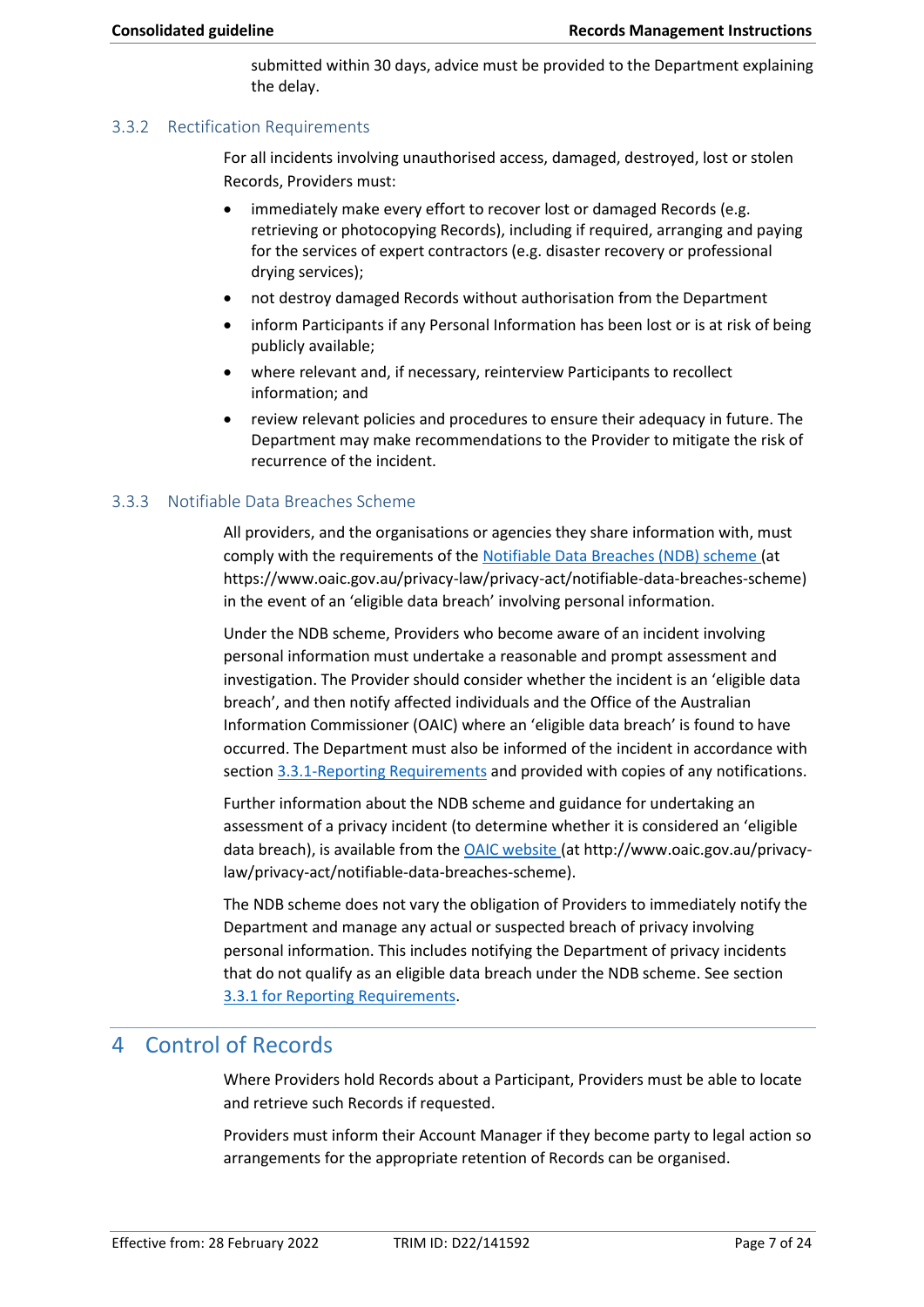submitted within 30 days, advice must be provided to the Department explaining the delay.

#### 3.3.2 Rectification Requirements

For all incidents involving unauthorised access, damaged, destroyed, lost or stolen Records, Providers must:

- immediately make every effort to recover lost or damaged Records (e.g. retrieving or photocopying Records), including if required, arranging and paying for the services of expert contractors (e.g. disaster recovery or professional drying services);
- not destroy damaged Records without authorisation from the Department
- inform Participants if any Personal Information has been lost or is at risk of being publicly available;
- where relevant and, if necessary, reinterview Participants to recollect information; and
- review relevant policies and procedures to ensure their adequacy in future. The Department may make recommendations to the Provider to mitigate the risk of recurrence of the incident.

#### 3.3.3 Notifiable Data Breaches Scheme

All providers, and the organisations or agencies they share information with, must comply with the requirements of the [Notifiable Data Breaches \(NDB\) scheme](https://www.oaic.gov.au/privacy-law/privacy-act/notifiable-data-breaches-scheme) (at [https://www.oaic.gov.au/privacy-law/privacy-act/notifiable-data-breaches-scheme\)](https://www.oaic.gov.au/privacy-law/privacy-act/notifiable-data-breaches-scheme) in the event of an 'eligible data breach' involving personal information.

Under the NDB scheme, Providers who become aware of an incident involving personal information must undertake a reasonable and prompt assessment and investigation. The Provider should consider whether the incident is an 'eligible data breach', and then notify affected individuals and the Office of the Australian Information Commissioner (OAIC) where an 'eligible data breach' is found to have occurred. The Department must also be informed of the incident in accordance with sectio[n 3.3.1-Reporting Requirements](#page-5-0) and provided with copies of any notifications.

Further information about the NDB scheme and guidance for undertaking an assessment of a privacy incident (to determine whether it is considered an 'eligible data breach), is available from the [OAIC website](http://www.oaic.gov.au/privacy-law/privacy-act/notifiable-data-breaches-scheme) (at<http://www.oaic.gov.au/privacy>law/privacy-act/notifiable-data-breaches-scheme).

The NDB scheme does not vary the obligation of Providers to immediately notify the Department and manage any actual or suspected breach of privacy involving personal information. This includes notifying the Department of privacy incidents that do not qualify as an eligible data breach under the NDB scheme. See section 3.3.1 [for Reporting Requirements.](#page-5-0)

# <span id="page-6-0"></span>4 Control of Records

Where Providers hold Records about a Participant, Providers must be able to locate and retrieve such Records if requested.

Providers must inform their Account Manager if they become party to legal action so arrangements for the appropriate retention of Records can be organised.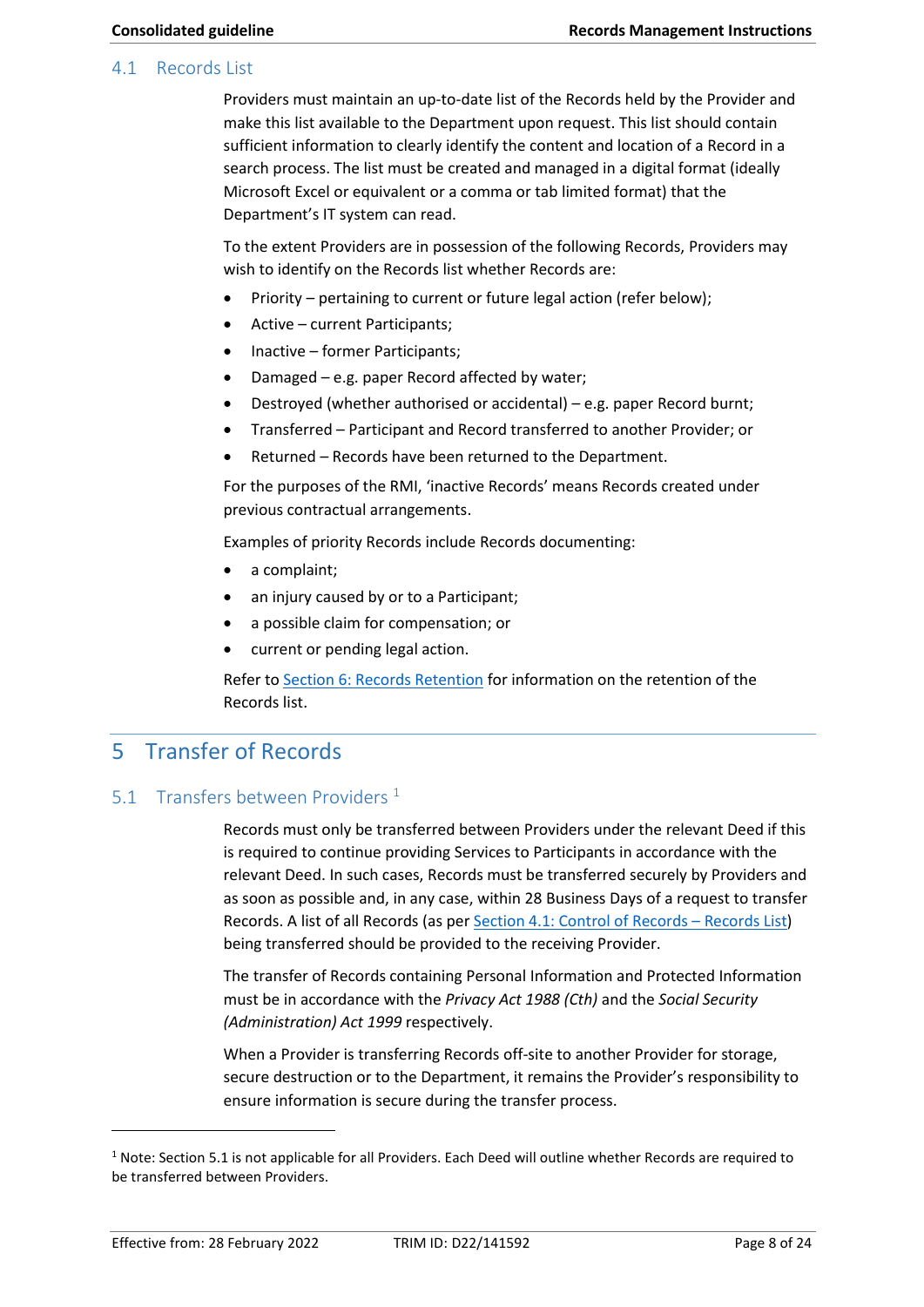#### <span id="page-7-1"></span><span id="page-7-0"></span>4.1 Records List

 make this list available to the Department upon request. This list should contain Providers must maintain an up-to-date list of the Records held by the Provider and sufficient information to clearly identify the content and location of a Record in a search process. The list must be created and managed in a digital format (ideally Microsoft Excel or equivalent or a comma or tab limited format) that the Department's IT system can read.

To the extent Providers are in possession of the following Records, Providers may wish to identify on the Records list whether Records are:

- Priority pertaining to current or future legal action (refer below);
- Active current Participants;
- Inactive former Participants;
- Damaged e.g. paper Record affected by water;
- Destroyed (whether authorised or accidental) e.g. paper Record burnt;
- Transferred Participant and Record transferred to another Provider; or
- Returned Records have been returned to the Department.

For the purposes of the RMI, 'inactive Records' means Records created under previous contractual arrangements.

Examples of priority Records include Records documenting:

- a complaint;
- an injury caused by or to a Participant;
- a possible claim for compensation; or
- current or pending legal action.

Refer t[o Section 6: Records Retention](#page-8-2) for information on the retention of the Records list.

# 5 Transfer of Records

# 5.1 Transfers between Providers  $1$

Records must only be transferred between Providers under the relevant Deed if this is required to continue providing Services to Participants in accordance with the relevant Deed. In such cases, Records must be transferred securely by Providers and as soon as possible and, in any case, within 28 Business Days of a request to transfer Records. A list of all Records (as per [Section 4.1: Control of Records](#page-7-1) – Records List) being transferred should be provided to the receiving Provider.

The transfer of Records containing Personal Information and Protected Information must be in accordance with the *Privacy Act 1988 (Cth)* and the *Social Security (Administration) Act 1999* respectively.

 secure destruction or to the Department, it remains the Provider's responsibility to When a Provider is transferring Records off-site to another Provider for storage, ensure information is secure during the transfer process.

 $1$  Note: Section 5.1 is not applicable for all Providers. Each Deed will outline whether Records are required to be transferred between Providers.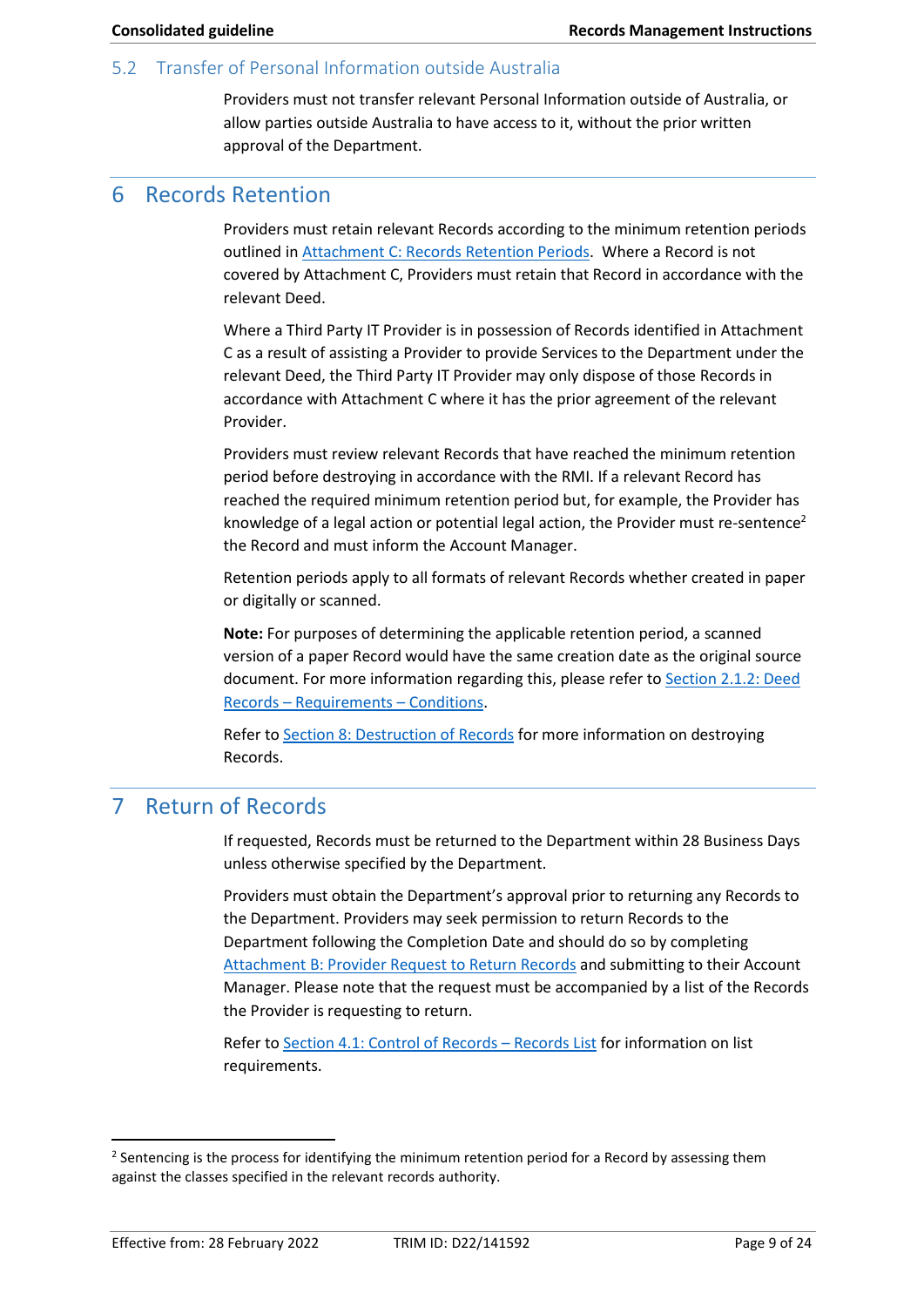#### <span id="page-8-0"></span>5.2 Transfer of Personal Information outside Australia

Providers must not transfer relevant Personal Information outside of Australia, or allow parties outside Australia to have access to it, without the prior written approval of the Department.

# <span id="page-8-2"></span>6 Records Retention

Providers must retain relevant Records according to the minimum retention periods outlined i[n Attachment C: Records Retention Periods.](#page-19-0) Where a Record is not covered by Attachment C, Providers must retain that Record in accordance with the relevant Deed.

 C as a result of assisting a Provider to provide Services to the Department under the Where a Third Party IT Provider is in possession of Records identified in Attachment relevant Deed, the Third Party IT Provider may only dispose of those Records in accordance with Attachment C where it has the prior agreement of the relevant Provider.

Providers must review relevant Records that have reached the minimum retention period before destroying in accordance with the RMI. If a relevant Record has reached the required minimum retention period but, for example, the Provider has knowledge of a legal action or potential legal action, the Provider must re-sentence<sup>2</sup> the Record and must inform the Account Manager.

Retention periods apply to all formats of relevant Records whether created in paper or digitally or scanned.

**Note:** For purposes of determining the applicable retention period, a scanned version of a paper Record would have the same creation date as the original source document. For more information regarding this, please refer to [Section 2.1.2: Deed](#page-2-1)  Records – [Requirements](#page-2-1) – Conditions.

Refer t[o Section 8: Destruction of Records f](#page-9-0)or more information on destroying Records.

# <span id="page-8-1"></span>7 Return of Records

If requested, Records must be returned to the Department within 28 Business Days unless otherwise specified by the Department.

Providers must obtain the Department's approval prior to returning any Records to the Department. Providers may seek permission to return Records to the Department following the Completion Date and should do so by completing [Attachment B: Provider Request to Return Records](#page-18-0) and submitting to their Account Manager. Please note that the request must be accompanied by a list of the Records the Provider is requesting to return.

Refer t[o Section 4.1: Control of Records](#page-7-1) – Records List for information on list requirements.

<sup>&</sup>lt;sup>2</sup> Sentencing is the process for identifying the minimum retention period for a Record by assessing them against the classes specified in the relevant records authority.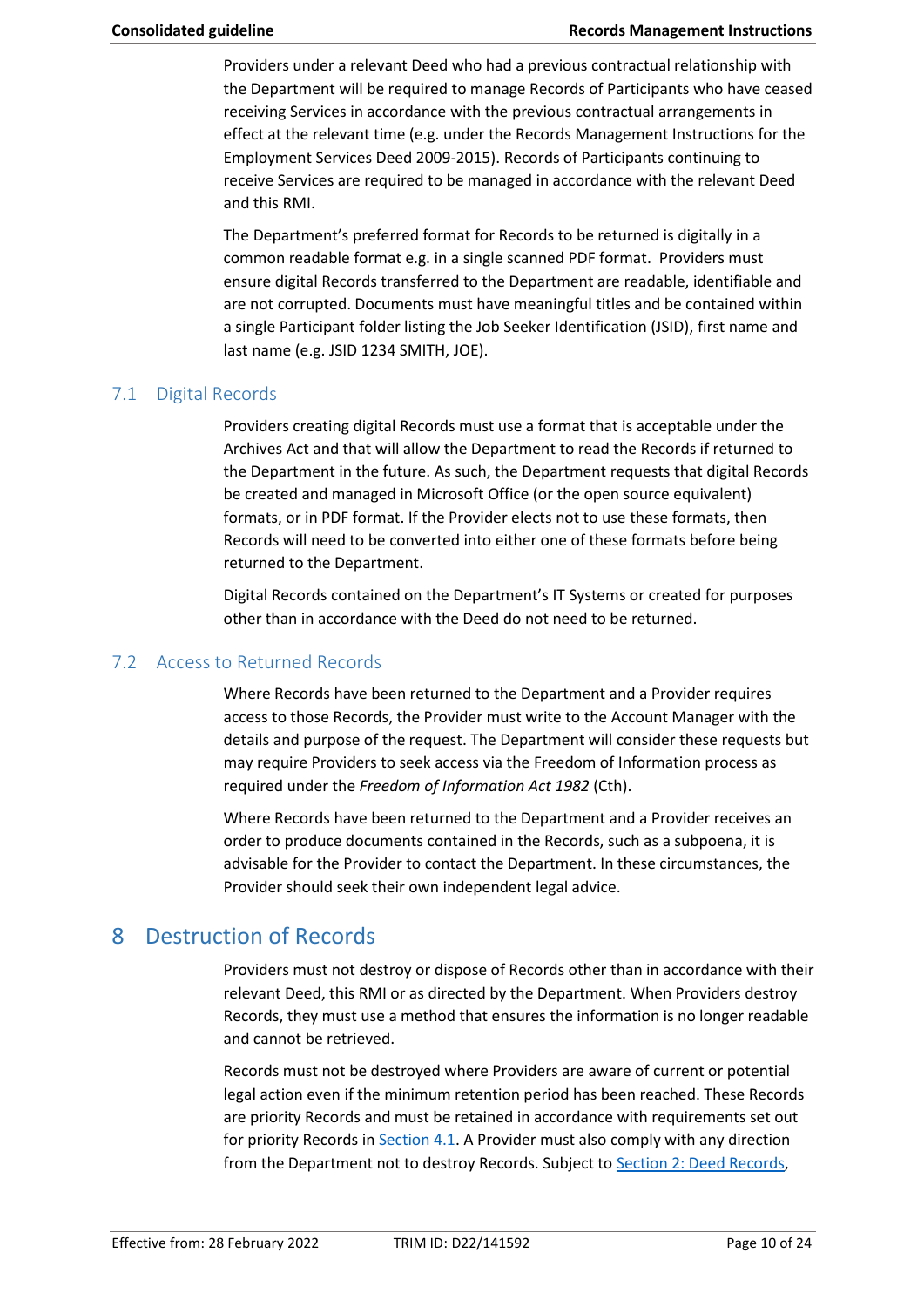Providers under a relevant Deed who had a previous contractual relationship with the Department will be required to manage Records of Participants who have ceased receiving Services in accordance with the previous contractual arrangements in effect at the relevant time (e.g. under the Records Management Instructions for the Employment Services Deed 2009-2015). Records of Participants continuing to receive Services are required to be managed in accordance with the relevant Deed and this RMI.

The Department's preferred format for Records to be returned is digitally in a common readable format e.g. in a single scanned PDF format. Providers must ensure digital Records transferred to the Department are readable, identifiable and are not corrupted. Documents must have meaningful titles and be contained within a single Participant folder listing the Job Seeker Identification (JSID), first name and last name (e.g. JSID 1234 SMITH, JOE).

## 7.1 Digital Records

Providers creating digital Records must use a format that is acceptable under the Archives Act and that will allow the Department to read the Records if returned to the Department in the future. As such, the Department requests that digital Records be created and managed in Microsoft Office (or the open source equivalent) formats, or in PDF format. If the Provider elects not to use these formats, then Records will need to be converted into either one of these formats before being returned to the Department.

Digital Records contained on the Department's IT Systems or created for purposes other than in accordance with the Deed do not need to be returned.

### 7.2 Access to Returned Records

Where Records have been returned to the Department and a Provider requires access to those Records, the Provider must write to the Account Manager with the details and purpose of the request. The Department will consider these requests but may require Providers to seek access via the Freedom of Information process as required under the *Freedom of Information Act 1982* (Cth).

Where Records have been returned to the Department and a Provider receives an order to produce documents contained in the Records, such as a subpoena, it is advisable for the Provider to contact the Department. In these circumstances, the Provider should seek their own independent legal advice.

# <span id="page-9-0"></span>8 Destruction of Records

 Records, they must use a method that ensures the information is no longer readable Providers must not destroy or dispose of Records other than in accordance with their relevant Deed, this RMI or as directed by the Department. When Providers destroy and cannot be retrieved.

 are priority Records and must be retained in accordance with requirements set out from the Department not to destroy Records. Subject to [Section 2: Deed Records,](#page-2-0) Records must not be destroyed where Providers are aware of current or potential legal action even if the minimum retention period has been reached. These Records for priority Records in [Section 4.1.](#page-7-1) A Provider must also comply with any direction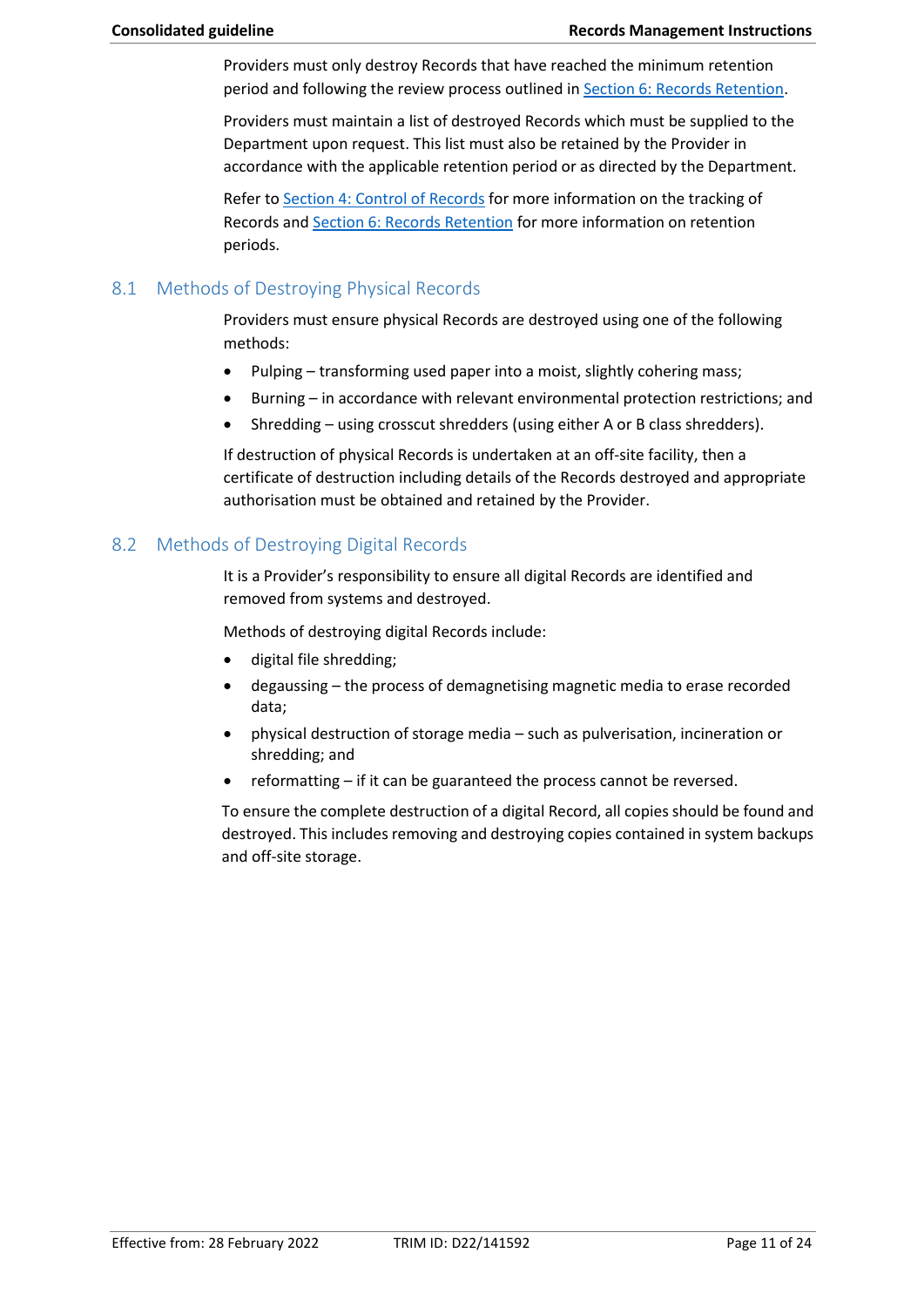Providers must only destroy Records that have reached the minimum retention period and following the review process outlined in [Section 6: Records Retention.](#page-8-2)

Providers must maintain a list of destroyed Records which must be supplied to the Department upon request. This list must also be retained by the Provider in accordance with the applicable retention period or as directed by the Department.

Refer t[o Section 4: Control of Records f](#page-6-0)or more information on the tracking of Records an[d Section 6: Records Retention](#page-8-2) for more information on retention periods.

### 8.1 Methods of Destroying Physical Records

Providers must ensure physical Records are destroyed using one of the following methods:

- Pulping transforming used paper into a moist, slightly cohering mass;
- Burning in accordance with relevant environmental protection restrictions; and
- Shredding using crosscut shredders (using either A or B class shredders).

If destruction of physical Records is undertaken at an off-site facility, then a certificate of destruction including details of the Records destroyed and appropriate authorisation must be obtained and retained by the Provider.

## 8.2 Methods of Destroying Digital Records

 It is a Provider's responsibility to ensure all digital Records are identified and removed from systems and destroyed.

Methods of destroying digital Records include:

- digital file shredding;
- degaussing the process of demagnetising magnetic media to erase recorded data;
- physical destruction of storage media such as pulverisation, incineration or shredding; and
- reformatting if it can be guaranteed the process cannot be reversed.

 To ensure the complete destruction of a digital Record, all copies should be found and destroyed. This includes removing and destroying copies contained in system backups and off-site storage.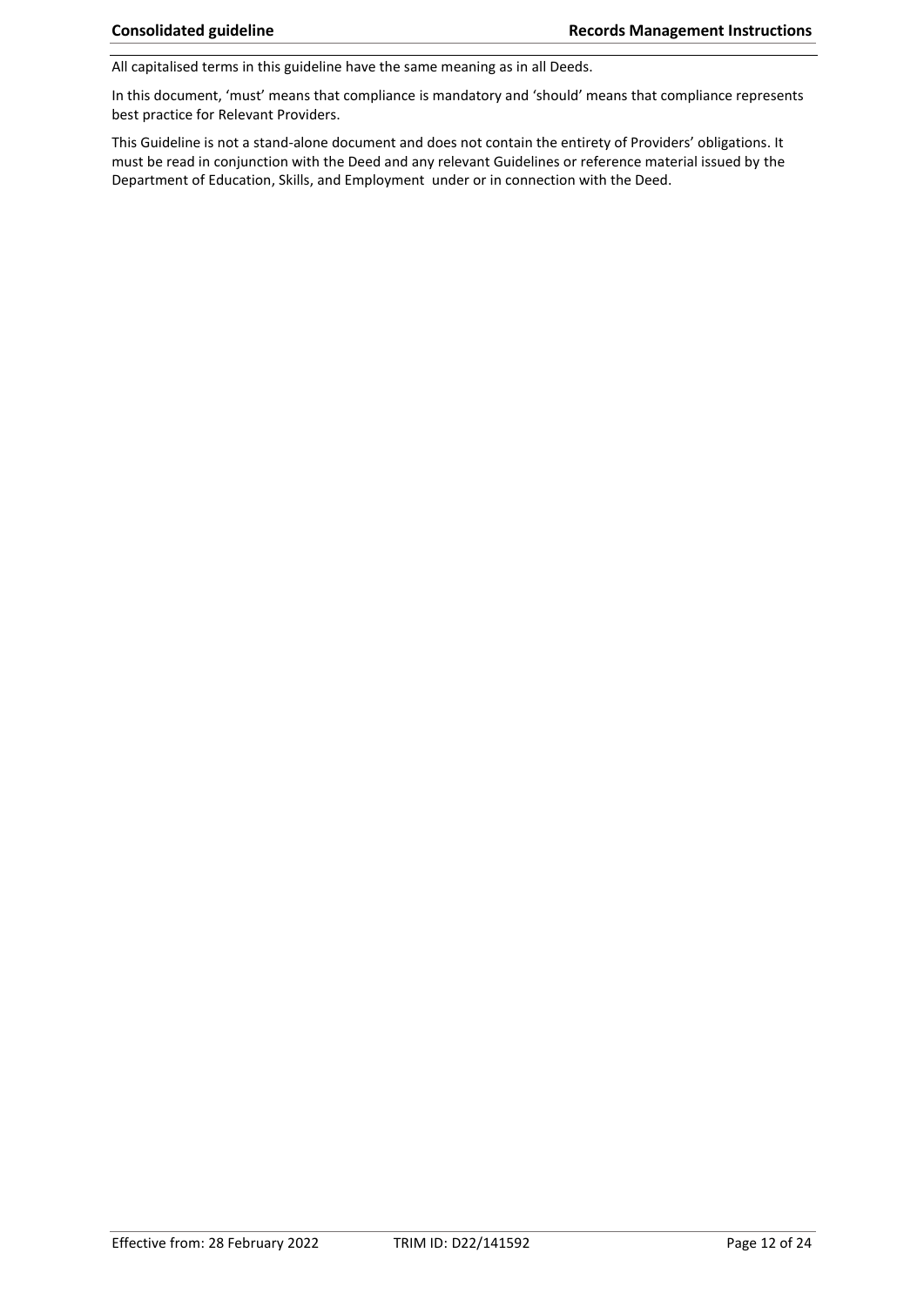All capitalised terms in this guideline have the same meaning as in all Deeds.

In this document, 'must' means that compliance is mandatory and 'should' means that compliance represents best practice for Relevant Providers.

This Guideline is not a stand-alone document and does not contain the entirety of Providers' obligations. It must be read in conjunction with the Deed and any relevant Guidelines or reference material issued by the Department of Education, Skills, and Employment under or in connection with the Deed.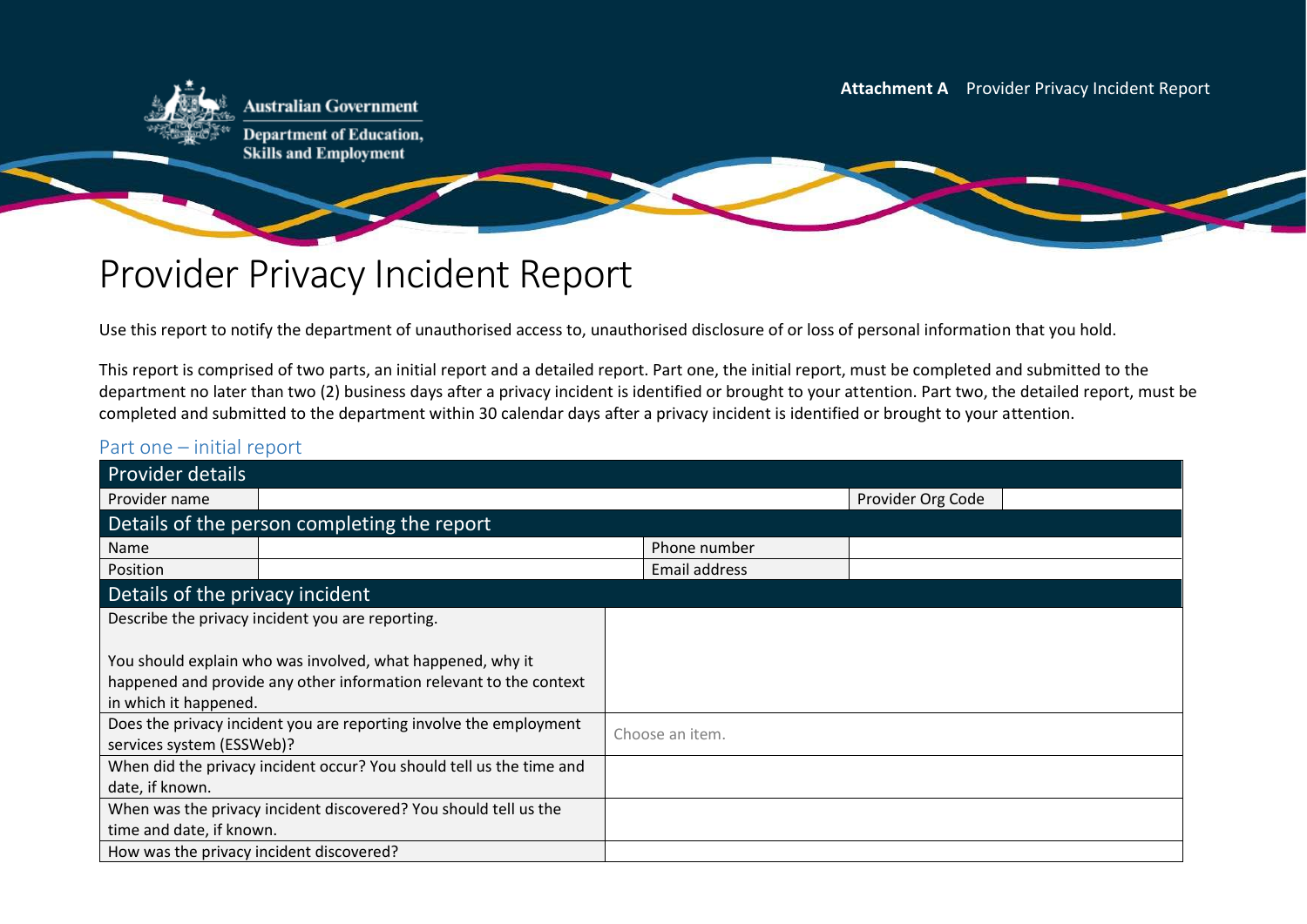– **Attachment A** Provider Privacy Incident Report



**Australian Government** 

**Department of Education, Skills and Employment** 

# Provider Privacy Incident Report

Use this report to notify the department of unauthorised access to, unauthorised disclosure of or loss of personal information that you hold.

 This report is comprised of two parts, an initial report and a detailed report. Part one, the initial report, must be completed and submitted to the department no later than two (2) business days after a privacy incident is identified or brought to your attention. Part two, the detailed report, must be completed and submitted to the department within 30 calendar days after a privacy incident is identified or brought to your attention.

# Part one – initial report

<span id="page-12-0"></span>

| <b>Provider details</b>                                            |                                                                      |                 |                   |  |
|--------------------------------------------------------------------|----------------------------------------------------------------------|-----------------|-------------------|--|
| Provider name                                                      |                                                                      |                 | Provider Org Code |  |
|                                                                    | Details of the person completing the report                          |                 |                   |  |
| Name                                                               |                                                                      | Phone number    |                   |  |
| Position                                                           |                                                                      | Email address   |                   |  |
| Details of the privacy incident                                    |                                                                      |                 |                   |  |
|                                                                    | Describe the privacy incident you are reporting.                     |                 |                   |  |
|                                                                    |                                                                      |                 |                   |  |
| You should explain who was involved, what happened, why it         |                                                                      |                 |                   |  |
| happened and provide any other information relevant to the context |                                                                      |                 |                   |  |
| in which it happened.                                              |                                                                      |                 |                   |  |
| Does the privacy incident you are reporting involve the employment |                                                                      | Choose an item. |                   |  |
| services system (ESSWeb)?                                          |                                                                      |                 |                   |  |
|                                                                    | When did the privacy incident occur? You should tell us the time and |                 |                   |  |
| date, if known.                                                    |                                                                      |                 |                   |  |
| When was the privacy incident discovered? You should tell us the   |                                                                      |                 |                   |  |
| time and date, if known.                                           |                                                                      |                 |                   |  |
| How was the privacy incident discovered?                           |                                                                      |                 |                   |  |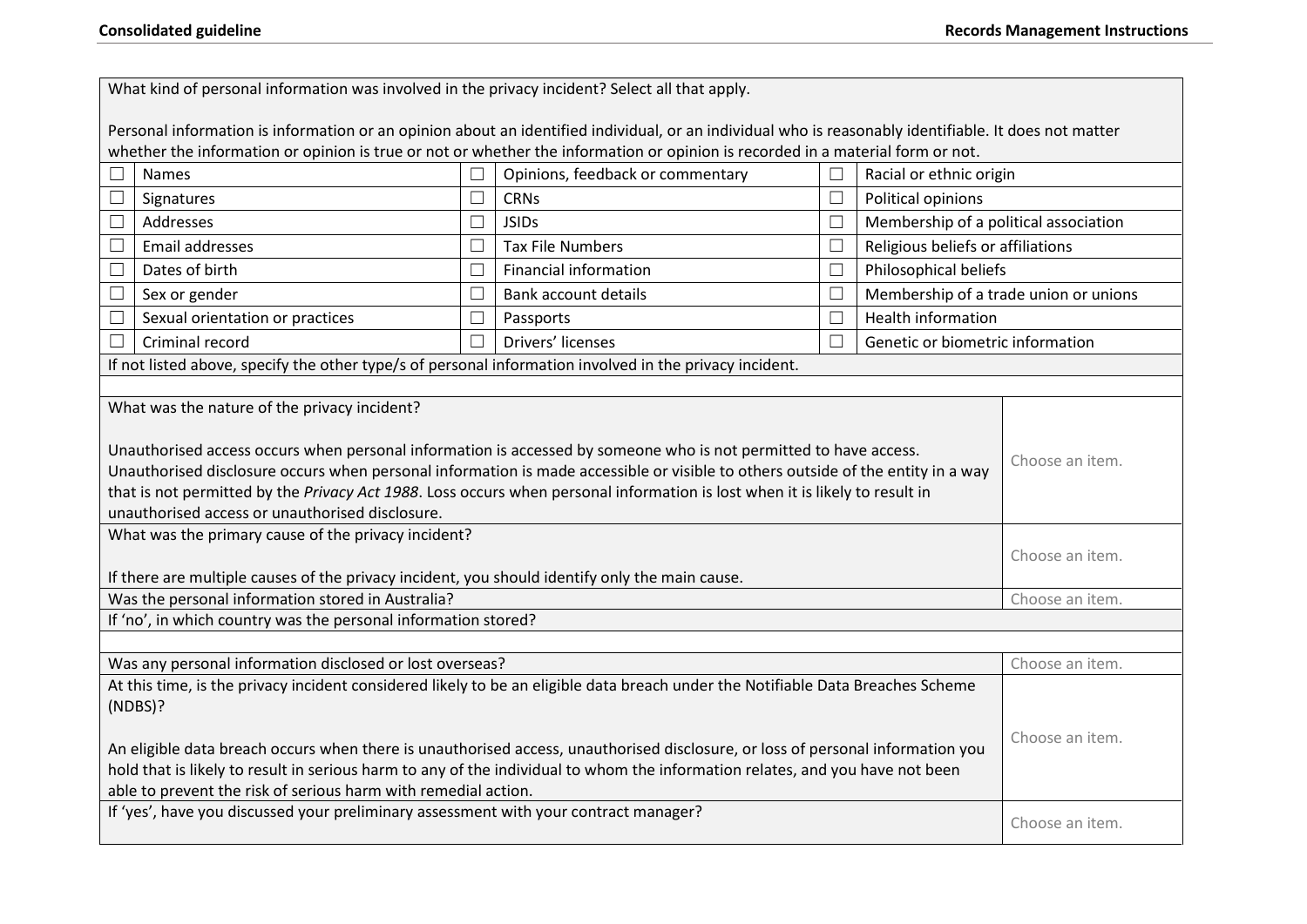| What kind of personal information was involved in the privacy incident? Select all that apply.                                                                                                                                                                                                                                                                                                                                                           |        |                                                                                                                                                       |        |                                       |                 |
|----------------------------------------------------------------------------------------------------------------------------------------------------------------------------------------------------------------------------------------------------------------------------------------------------------------------------------------------------------------------------------------------------------------------------------------------------------|--------|-------------------------------------------------------------------------------------------------------------------------------------------------------|--------|---------------------------------------|-----------------|
|                                                                                                                                                                                                                                                                                                                                                                                                                                                          |        | Personal information is information or an opinion about an identified individual, or an individual who is reasonably identifiable. It does not matter |        |                                       |                 |
|                                                                                                                                                                                                                                                                                                                                                                                                                                                          |        | whether the information or opinion is true or not or whether the information or opinion is recorded in a material form or not.                        |        |                                       |                 |
| Names                                                                                                                                                                                                                                                                                                                                                                                                                                                    | П      | Opinions, feedback or commentary                                                                                                                      |        | Racial or ethnic origin               |                 |
| Signatures                                                                                                                                                                                                                                                                                                                                                                                                                                               | $\Box$ | <b>CRNs</b>                                                                                                                                           |        | Political opinions                    |                 |
| Addresses<br>⊏                                                                                                                                                                                                                                                                                                                                                                                                                                           | $\Box$ | <b>JSIDs</b>                                                                                                                                          | $\Box$ | Membership of a political association |                 |
| Email addresses                                                                                                                                                                                                                                                                                                                                                                                                                                          | $\Box$ | <b>Tax File Numbers</b>                                                                                                                               |        | Religious beliefs or affiliations     |                 |
| Dates of birth                                                                                                                                                                                                                                                                                                                                                                                                                                           | $\Box$ | Financial information                                                                                                                                 |        | Philosophical beliefs                 |                 |
| Sex or gender<br>∟                                                                                                                                                                                                                                                                                                                                                                                                                                       | $\Box$ | <b>Bank account details</b>                                                                                                                           | $\Box$ | Membership of a trade union or unions |                 |
| Sexual orientation or practices                                                                                                                                                                                                                                                                                                                                                                                                                          | $\Box$ | Passports                                                                                                                                             |        | <b>Health information</b>             |                 |
| Criminal record                                                                                                                                                                                                                                                                                                                                                                                                                                          | $\Box$ | Drivers' licenses                                                                                                                                     |        | Genetic or biometric information      |                 |
|                                                                                                                                                                                                                                                                                                                                                                                                                                                          |        | If not listed above, specify the other type/s of personal information involved in the privacy incident.                                               |        |                                       |                 |
|                                                                                                                                                                                                                                                                                                                                                                                                                                                          |        |                                                                                                                                                       |        |                                       |                 |
| Unauthorised access occurs when personal information is accessed by someone who is not permitted to have access.<br>Choose an item.<br>Unauthorised disclosure occurs when personal information is made accessible or visible to others outside of the entity in a way<br>that is not permitted by the Privacy Act 1988. Loss occurs when personal information is lost when it is likely to result in<br>unauthorised access or unauthorised disclosure. |        |                                                                                                                                                       |        |                                       |                 |
| What was the primary cause of the privacy incident?<br>If there are multiple causes of the privacy incident, you should identify only the main cause.                                                                                                                                                                                                                                                                                                    |        |                                                                                                                                                       |        | Choose an item.                       |                 |
| Was the personal information stored in Australia?                                                                                                                                                                                                                                                                                                                                                                                                        |        |                                                                                                                                                       |        | Choose an item.                       |                 |
| If 'no', in which country was the personal information stored?                                                                                                                                                                                                                                                                                                                                                                                           |        |                                                                                                                                                       |        |                                       |                 |
|                                                                                                                                                                                                                                                                                                                                                                                                                                                          |        |                                                                                                                                                       |        |                                       |                 |
| Was any personal information disclosed or lost overseas?                                                                                                                                                                                                                                                                                                                                                                                                 |        |                                                                                                                                                       |        |                                       | Choose an item. |
| At this time, is the privacy incident considered likely to be an eligible data breach under the Notifiable Data Breaches Scheme<br>(NDBS)?<br>An eligible data breach occurs when there is unauthorised access, unauthorised disclosure, or loss of personal information you                                                                                                                                                                             |        |                                                                                                                                                       |        | Choose an item.                       |                 |
| hold that is likely to result in serious harm to any of the individual to whom the information relates, and you have not been                                                                                                                                                                                                                                                                                                                            |        |                                                                                                                                                       |        |                                       |                 |
| able to prevent the risk of serious harm with remedial action.                                                                                                                                                                                                                                                                                                                                                                                           |        |                                                                                                                                                       |        |                                       |                 |
| If 'yes', have you discussed your preliminary assessment with your contract manager?                                                                                                                                                                                                                                                                                                                                                                     |        |                                                                                                                                                       |        | Choose an item.                       |                 |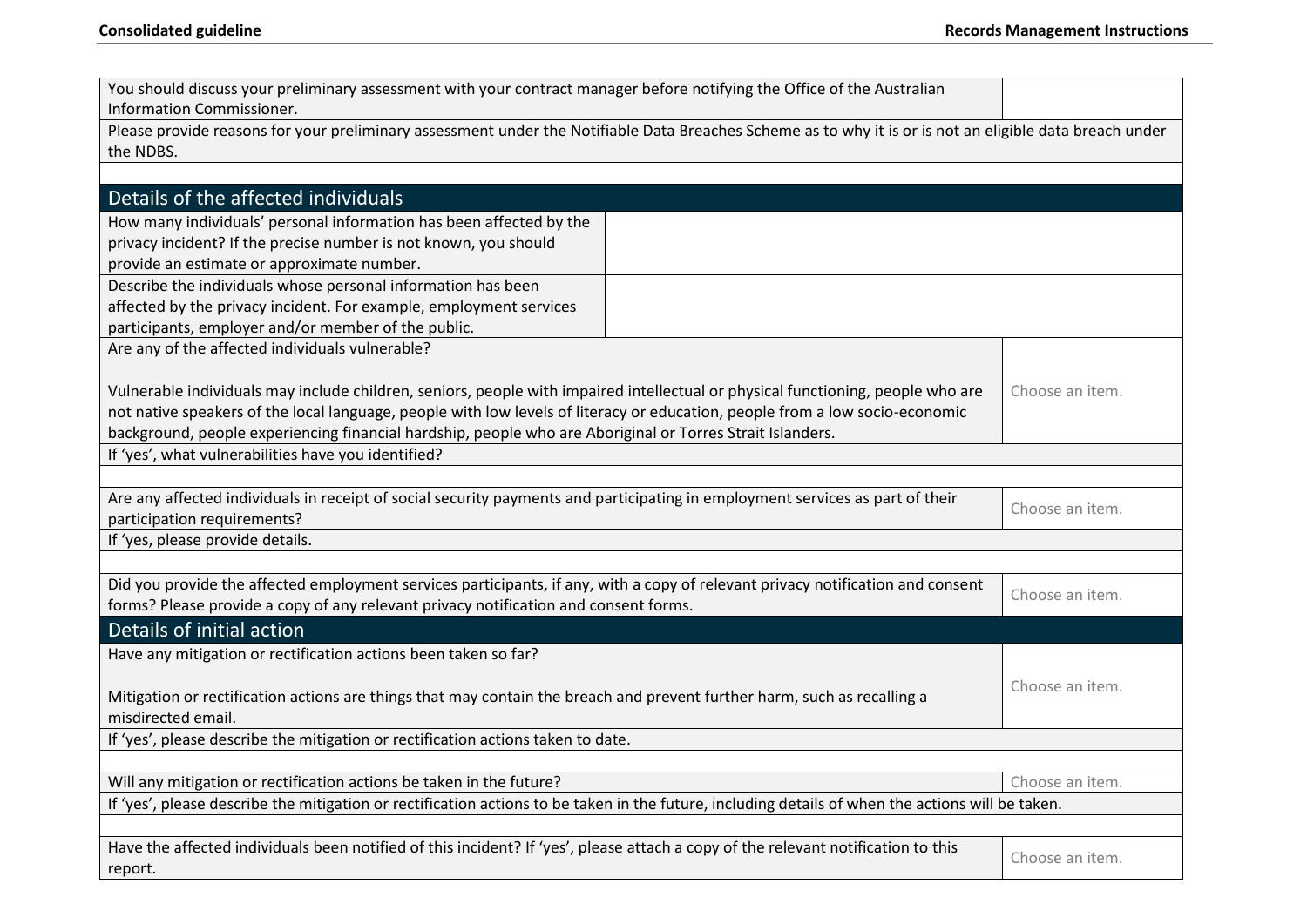| You should discuss your preliminary assessment with your contract manager before notifying the Office of the Australian<br>Information Commissioner.                                                                                                                                                                                                                         |                 |  |  |  |
|------------------------------------------------------------------------------------------------------------------------------------------------------------------------------------------------------------------------------------------------------------------------------------------------------------------------------------------------------------------------------|-----------------|--|--|--|
| Please provide reasons for your preliminary assessment under the Notifiable Data Breaches Scheme as to why it is or is not an eligible data breach under<br>the NDBS.                                                                                                                                                                                                        |                 |  |  |  |
| Details of the affected individuals                                                                                                                                                                                                                                                                                                                                          |                 |  |  |  |
| How many individuals' personal information has been affected by the<br>privacy incident? If the precise number is not known, you should<br>provide an estimate or approximate number.<br>Describe the individuals whose personal information has been                                                                                                                        |                 |  |  |  |
| affected by the privacy incident. For example, employment services                                                                                                                                                                                                                                                                                                           |                 |  |  |  |
| participants, employer and/or member of the public.                                                                                                                                                                                                                                                                                                                          |                 |  |  |  |
| Are any of the affected individuals vulnerable?                                                                                                                                                                                                                                                                                                                              |                 |  |  |  |
| Vulnerable individuals may include children, seniors, people with impaired intellectual or physical functioning, people who are<br>not native speakers of the local language, people with low levels of literacy or education, people from a low socio-economic<br>background, people experiencing financial hardship, people who are Aboriginal or Torres Strait Islanders. | Choose an item. |  |  |  |
| If 'yes', what vulnerabilities have you identified?                                                                                                                                                                                                                                                                                                                          |                 |  |  |  |
| Are any affected individuals in receipt of social security payments and participating in employment services as part of their<br>participation requirements?                                                                                                                                                                                                                 | Choose an item. |  |  |  |
| If 'yes, please provide details.                                                                                                                                                                                                                                                                                                                                             |                 |  |  |  |
| Did you provide the affected employment services participants, if any, with a copy of relevant privacy notification and consent<br>forms? Please provide a copy of any relevant privacy notification and consent forms.                                                                                                                                                      | Choose an item. |  |  |  |
| Details of initial action                                                                                                                                                                                                                                                                                                                                                    |                 |  |  |  |
| Have any mitigation or rectification actions been taken so far?                                                                                                                                                                                                                                                                                                              |                 |  |  |  |
| Choose an item.<br>Mitigation or rectification actions are things that may contain the breach and prevent further harm, such as recalling a<br>misdirected email.                                                                                                                                                                                                            |                 |  |  |  |
| If 'yes', please describe the mitigation or rectification actions taken to date.                                                                                                                                                                                                                                                                                             |                 |  |  |  |
|                                                                                                                                                                                                                                                                                                                                                                              |                 |  |  |  |
| Will any mitigation or rectification actions be taken in the future?                                                                                                                                                                                                                                                                                                         | Choose an item. |  |  |  |
| If 'yes', please describe the mitigation or rectification actions to be taken in the future, including details of when the actions will be taken.                                                                                                                                                                                                                            |                 |  |  |  |
| Have the affected individuals been notified of this incident? If 'yes', please attach a copy of the relevant notification to this<br>report.                                                                                                                                                                                                                                 | Choose an item. |  |  |  |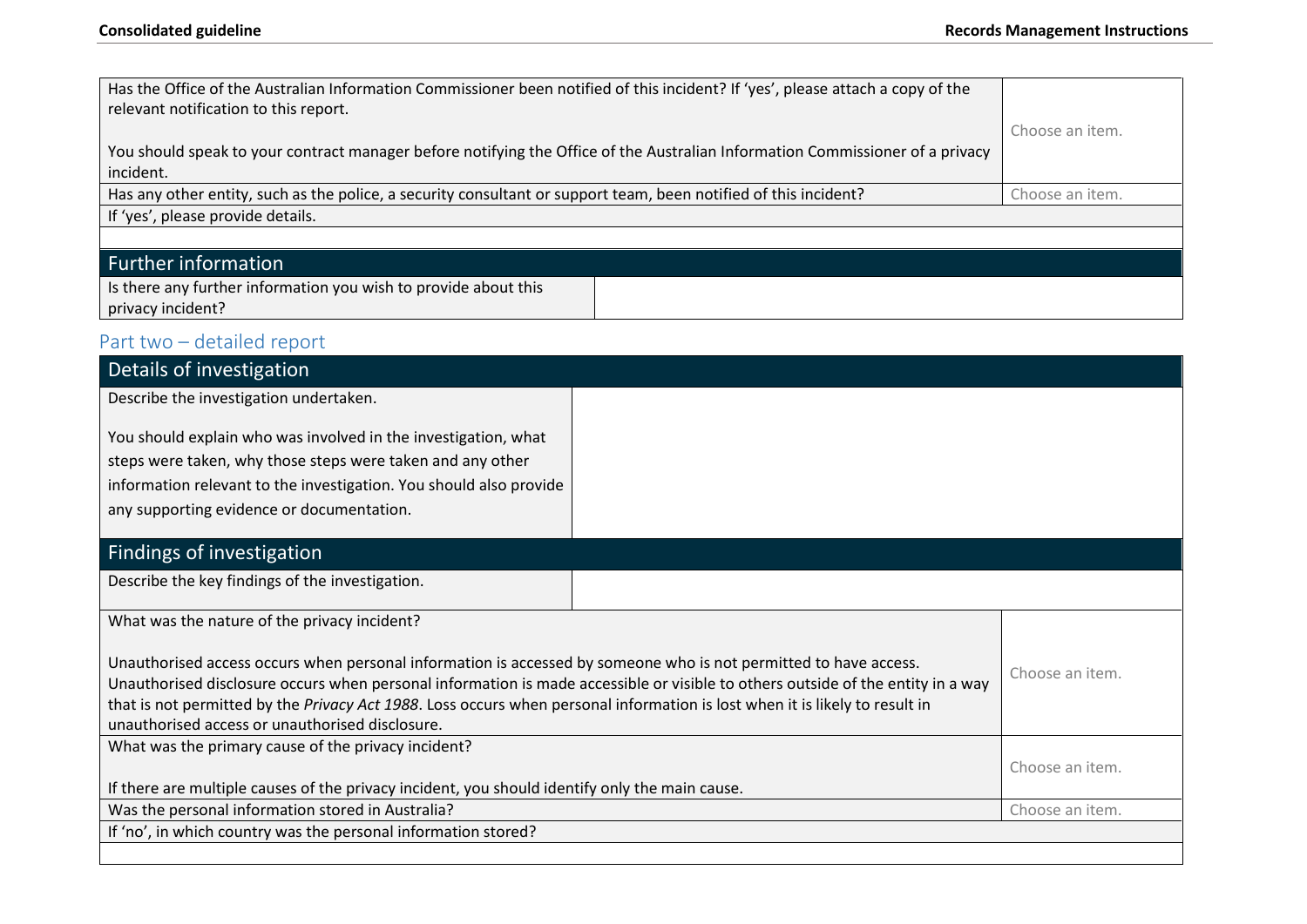| Has the Office of the Australian Information Commissioner been notified of this incident? If 'yes', please attach a copy of the<br>relevant notification to this report. |  |                 |
|--------------------------------------------------------------------------------------------------------------------------------------------------------------------------|--|-----------------|
|                                                                                                                                                                          |  | Choose an item. |
| You should speak to your contract manager before notifying the Office of the Australian Information Commissioner of a privacy                                            |  |                 |
| incident.                                                                                                                                                                |  |                 |
| Has any other entity, such as the police, a security consultant or support team, been notified of this incident?                                                         |  | Choose an item. |
| If 'yes', please provide details.                                                                                                                                        |  |                 |
|                                                                                                                                                                          |  |                 |
| <b>Further information</b>                                                                                                                                               |  |                 |
| Is there any further information you wish to provide about this                                                                                                          |  |                 |
| privacy incident?                                                                                                                                                        |  |                 |
| Part two - detailed report                                                                                                                                               |  |                 |
| Details of investigation                                                                                                                                                 |  |                 |
| Describe the investigation undertaken.                                                                                                                                   |  |                 |
|                                                                                                                                                                          |  |                 |
| You should explain who was involved in the investigation, what                                                                                                           |  |                 |
| steps were taken, why those steps were taken and any other                                                                                                               |  |                 |
| information relevant to the investigation. You should also provide                                                                                                       |  |                 |
| any supporting evidence or documentation.                                                                                                                                |  |                 |

# Findings of investigation

Describe the key findings of the investigation.

What was the nature of the privacy incident?

| Unauthorised access occurs when personal information is accessed by someone who is not permitted to have access.<br>Unauthorised disclosure occurs when personal information is made accessible or visible to others outside of the entity in a way<br>that is not permitted by the Privacy Act 1988. Loss occurs when personal information is lost when it is likely to result in<br>unauthorised access or unauthorised disclosure. | Choose an item. |
|---------------------------------------------------------------------------------------------------------------------------------------------------------------------------------------------------------------------------------------------------------------------------------------------------------------------------------------------------------------------------------------------------------------------------------------|-----------------|
| What was the primary cause of the privacy incident?                                                                                                                                                                                                                                                                                                                                                                                   |                 |
|                                                                                                                                                                                                                                                                                                                                                                                                                                       | Choose an item. |
| If there are multiple causes of the privacy incident, you should identify only the main cause.                                                                                                                                                                                                                                                                                                                                        |                 |
| Was the personal information stored in Australia?                                                                                                                                                                                                                                                                                                                                                                                     | Choose an item. |
| If 'no', in which country was the personal information stored?                                                                                                                                                                                                                                                                                                                                                                        |                 |
|                                                                                                                                                                                                                                                                                                                                                                                                                                       |                 |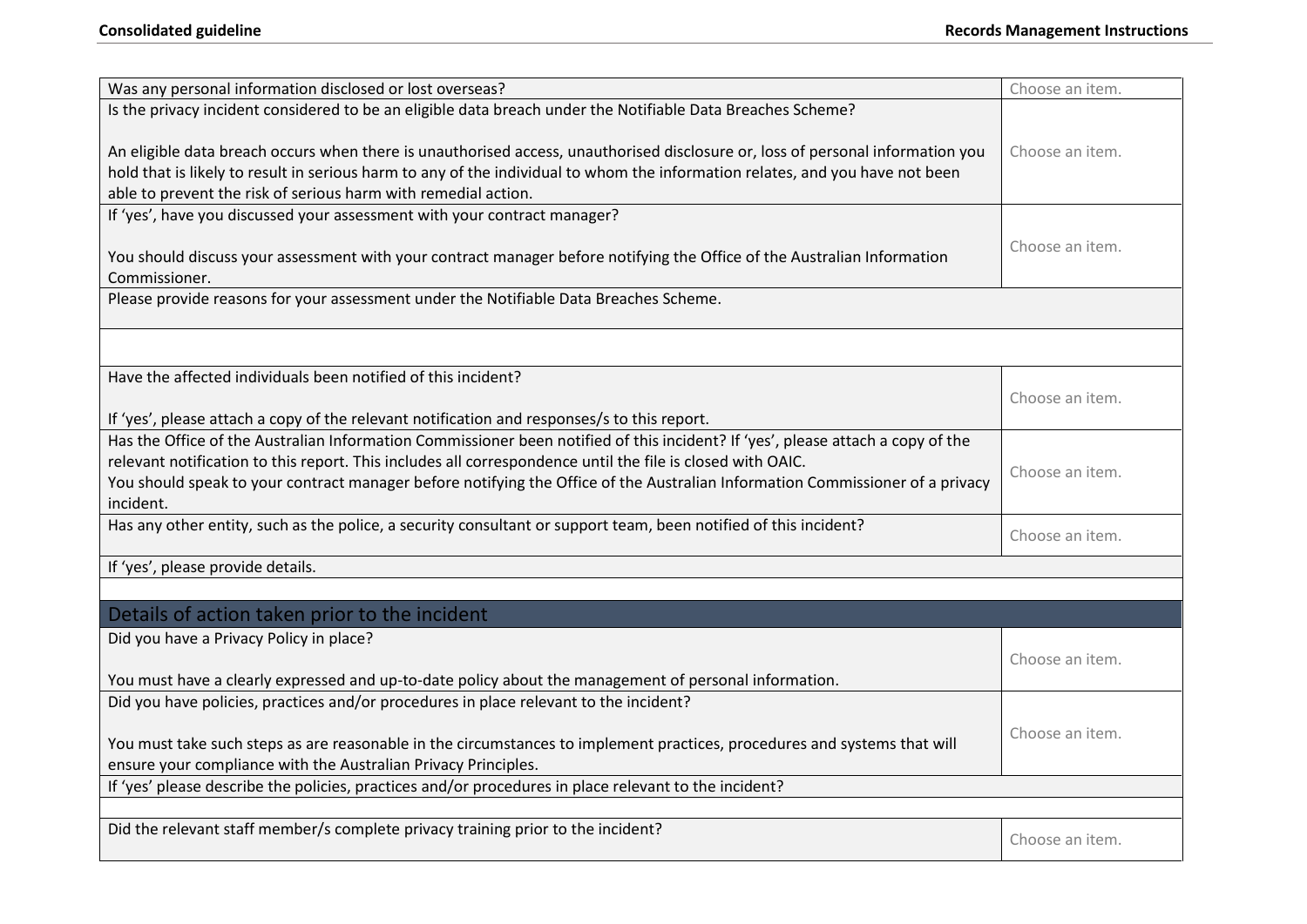| Was any personal information disclosed or lost overseas?                                                                                                                                                                                                                                                                                                                                                                                         | Choose an item. |  |
|--------------------------------------------------------------------------------------------------------------------------------------------------------------------------------------------------------------------------------------------------------------------------------------------------------------------------------------------------------------------------------------------------------------------------------------------------|-----------------|--|
| Is the privacy incident considered to be an eligible data breach under the Notifiable Data Breaches Scheme?<br>An eligible data breach occurs when there is unauthorised access, unauthorised disclosure or, loss of personal information you<br>hold that is likely to result in serious harm to any of the individual to whom the information relates, and you have not been<br>able to prevent the risk of serious harm with remedial action. | Choose an item. |  |
| If 'yes', have you discussed your assessment with your contract manager?                                                                                                                                                                                                                                                                                                                                                                         |                 |  |
| You should discuss your assessment with your contract manager before notifying the Office of the Australian Information<br>Commissioner.                                                                                                                                                                                                                                                                                                         | Choose an item. |  |
| Please provide reasons for your assessment under the Notifiable Data Breaches Scheme.                                                                                                                                                                                                                                                                                                                                                            |                 |  |
|                                                                                                                                                                                                                                                                                                                                                                                                                                                  |                 |  |
| Have the affected individuals been notified of this incident?<br>If 'yes', please attach a copy of the relevant notification and responses/s to this report.                                                                                                                                                                                                                                                                                     | Choose an item. |  |
| Has the Office of the Australian Information Commissioner been notified of this incident? If 'yes', please attach a copy of the<br>relevant notification to this report. This includes all correspondence until the file is closed with OAIC.                                                                                                                                                                                                    |                 |  |
| You should speak to your contract manager before notifying the Office of the Australian Information Commissioner of a privacy<br>incident.                                                                                                                                                                                                                                                                                                       | Choose an item. |  |
| Has any other entity, such as the police, a security consultant or support team, been notified of this incident?                                                                                                                                                                                                                                                                                                                                 | Choose an item. |  |
| If 'yes', please provide details.                                                                                                                                                                                                                                                                                                                                                                                                                |                 |  |
|                                                                                                                                                                                                                                                                                                                                                                                                                                                  |                 |  |
| Details of action taken prior to the incident                                                                                                                                                                                                                                                                                                                                                                                                    |                 |  |
| Did you have a Privacy Policy in place?                                                                                                                                                                                                                                                                                                                                                                                                          | Choose an item. |  |
| You must have a clearly expressed and up-to-date policy about the management of personal information.                                                                                                                                                                                                                                                                                                                                            |                 |  |
| Did you have policies, practices and/or procedures in place relevant to the incident?                                                                                                                                                                                                                                                                                                                                                            |                 |  |
| You must take such steps as are reasonable in the circumstances to implement practices, procedures and systems that will<br>ensure your compliance with the Australian Privacy Principles.                                                                                                                                                                                                                                                       | Choose an item. |  |
| If 'yes' please describe the policies, practices and/or procedures in place relevant to the incident?                                                                                                                                                                                                                                                                                                                                            |                 |  |
|                                                                                                                                                                                                                                                                                                                                                                                                                                                  |                 |  |
| Did the relevant staff member/s complete privacy training prior to the incident?                                                                                                                                                                                                                                                                                                                                                                 | Choose an item. |  |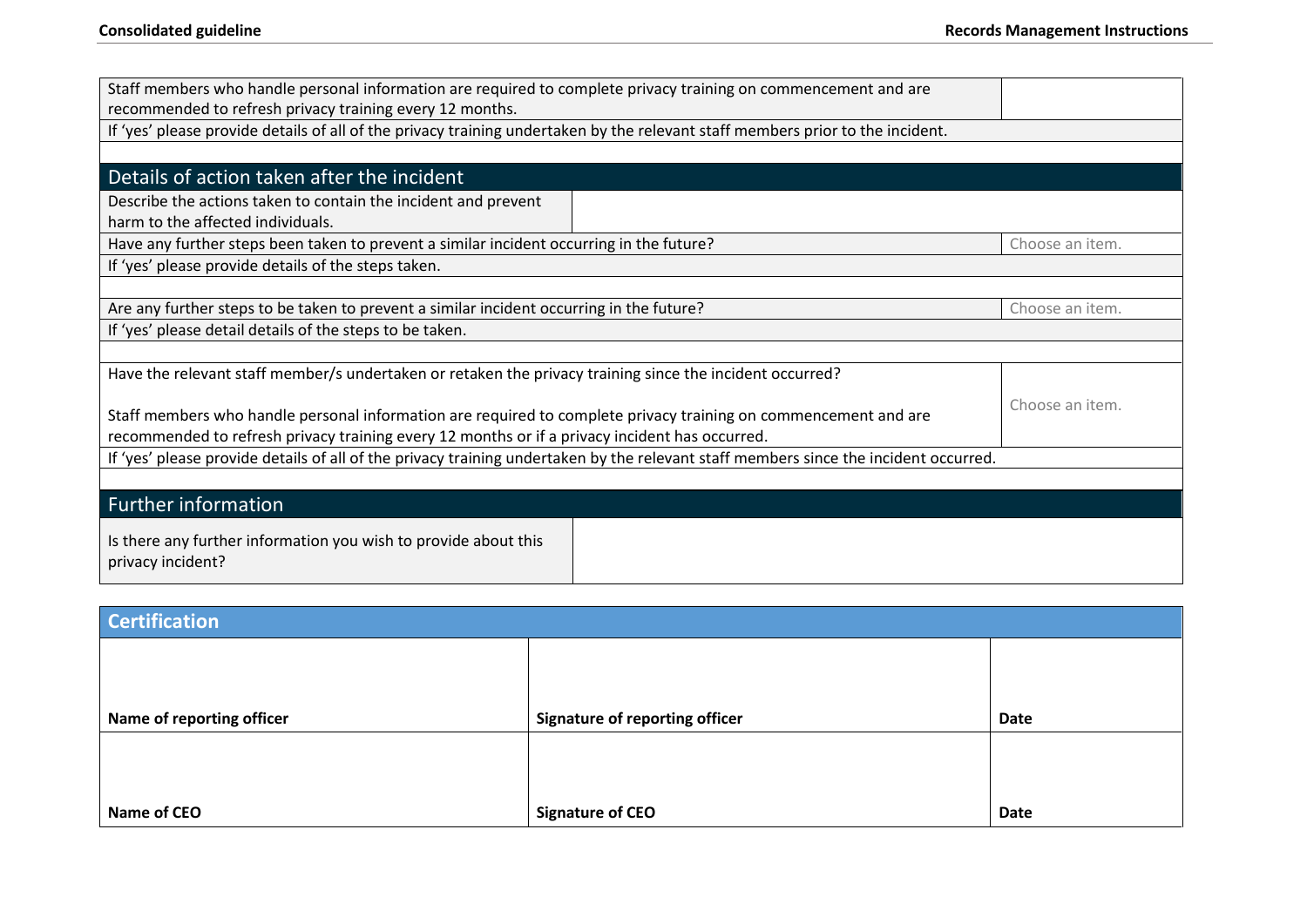| Staff members who handle personal information are required to complete privacy training on commencement and are                      |                 |  |  |  |
|--------------------------------------------------------------------------------------------------------------------------------------|-----------------|--|--|--|
| recommended to refresh privacy training every 12 months.                                                                             |                 |  |  |  |
| If 'yes' please provide details of all of the privacy training undertaken by the relevant staff members prior to the incident.       |                 |  |  |  |
|                                                                                                                                      |                 |  |  |  |
| Details of action taken after the incident                                                                                           |                 |  |  |  |
|                                                                                                                                      |                 |  |  |  |
| Describe the actions taken to contain the incident and prevent<br>harm to the affected individuals.                                  |                 |  |  |  |
|                                                                                                                                      |                 |  |  |  |
| Have any further steps been taken to prevent a similar incident occurring in the future?                                             | Choose an item. |  |  |  |
| If 'yes' please provide details of the steps taken.                                                                                  |                 |  |  |  |
|                                                                                                                                      |                 |  |  |  |
| Are any further steps to be taken to prevent a similar incident occurring in the future?<br>Choose an item.                          |                 |  |  |  |
| If 'yes' please detail details of the steps to be taken.                                                                             |                 |  |  |  |
|                                                                                                                                      |                 |  |  |  |
| Have the relevant staff member/s undertaken or retaken the privacy training since the incident occurred?                             |                 |  |  |  |
|                                                                                                                                      | Choose an item. |  |  |  |
| Staff members who handle personal information are required to complete privacy training on commencement and are                      |                 |  |  |  |
| recommended to refresh privacy training every 12 months or if a privacy incident has occurred.                                       |                 |  |  |  |
| If 'yes' please provide details of all of the privacy training undertaken by the relevant staff members since the incident occurred. |                 |  |  |  |
|                                                                                                                                      |                 |  |  |  |
| <b>Further information</b>                                                                                                           |                 |  |  |  |
| Is there any further information you wish to provide about this<br>privacy incident?                                                 |                 |  |  |  |

| <b>Certification</b>      |                                       |             |  |  |
|---------------------------|---------------------------------------|-------------|--|--|
|                           |                                       |             |  |  |
|                           |                                       |             |  |  |
| Name of reporting officer | <b>Signature of reporting officer</b> | Date        |  |  |
|                           |                                       |             |  |  |
|                           |                                       |             |  |  |
| Name of CEO               | <b>Signature of CEO</b>               | <b>Date</b> |  |  |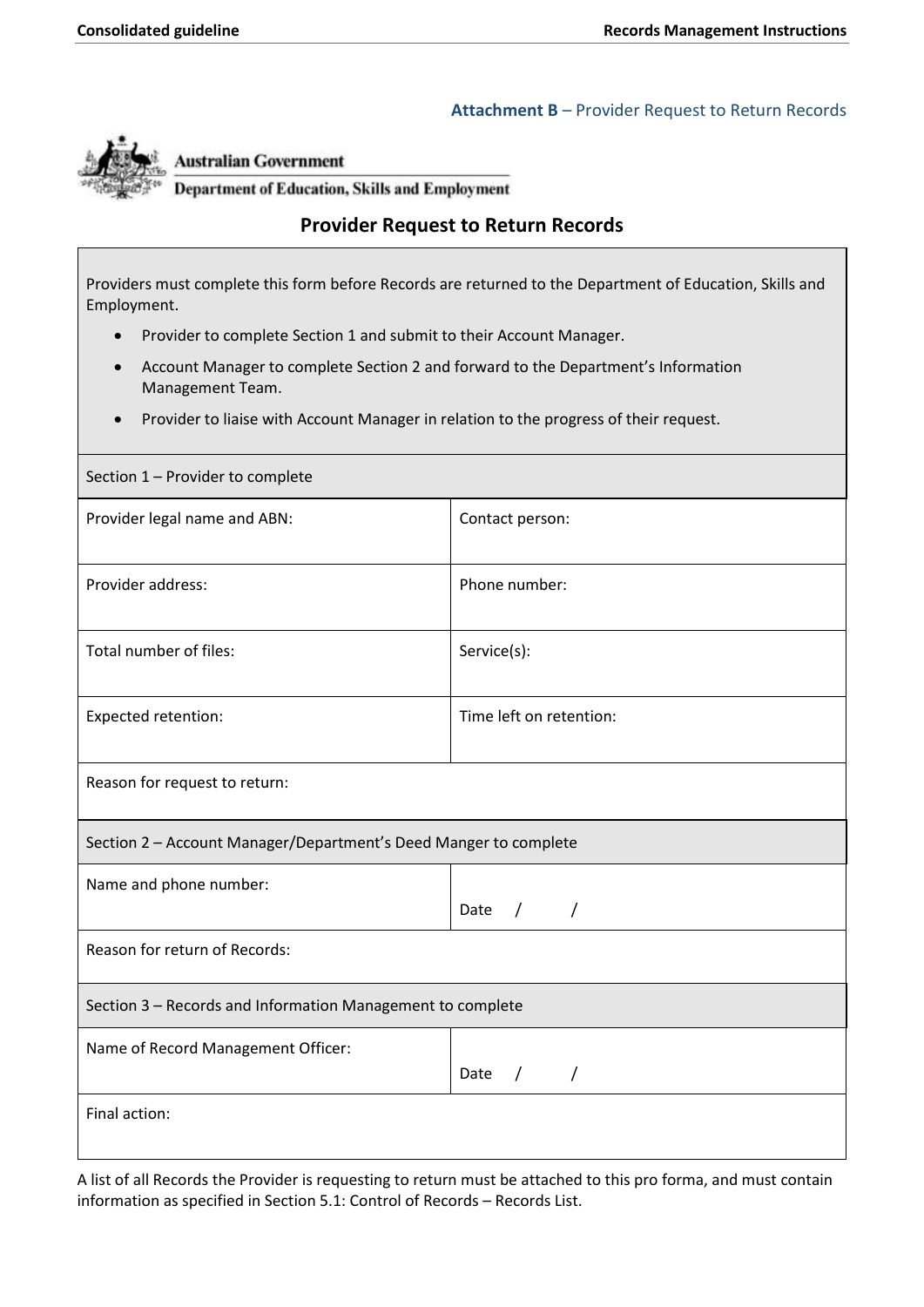#### **Attachment B** – Provider Request to Return Records

<span id="page-18-0"></span>

#### **Australian Government**

**Department of Education, Skills and Employment** 

# **Provider Request to Return Records**

Providers must complete this form before Records are returned to the Department of Education, Skills and Employment.

- Provider to complete Section 1 and submit to their Account Manager.
- Account Manager to complete Section 2 and forward to the Department's Information Management Team.
- Provider to liaise with Account Manager in relation to the progress of their request.

| Section 1 - Provider to complete                                 |                         |  |  |
|------------------------------------------------------------------|-------------------------|--|--|
| Provider legal name and ABN:                                     | Contact person:         |  |  |
| Provider address:                                                | Phone number:           |  |  |
| Total number of files:                                           | Service(s):             |  |  |
| Expected retention:                                              | Time left on retention: |  |  |
| Reason for request to return:                                    |                         |  |  |
| Section 2 - Account Manager/Department's Deed Manger to complete |                         |  |  |
| Name and phone number:                                           | Date $/$ /              |  |  |
| Reason for return of Records:                                    |                         |  |  |
| Section 3 - Records and Information Management to complete       |                         |  |  |
| Name of Record Management Officer:                               | Date $/$ /              |  |  |
| Final action:                                                    |                         |  |  |

A list of all Records the Provider is requesting to return must be attached to this pro forma, and must contain information as specified i[n Section 5.1: Control of Records](#page-7-1) – Records List.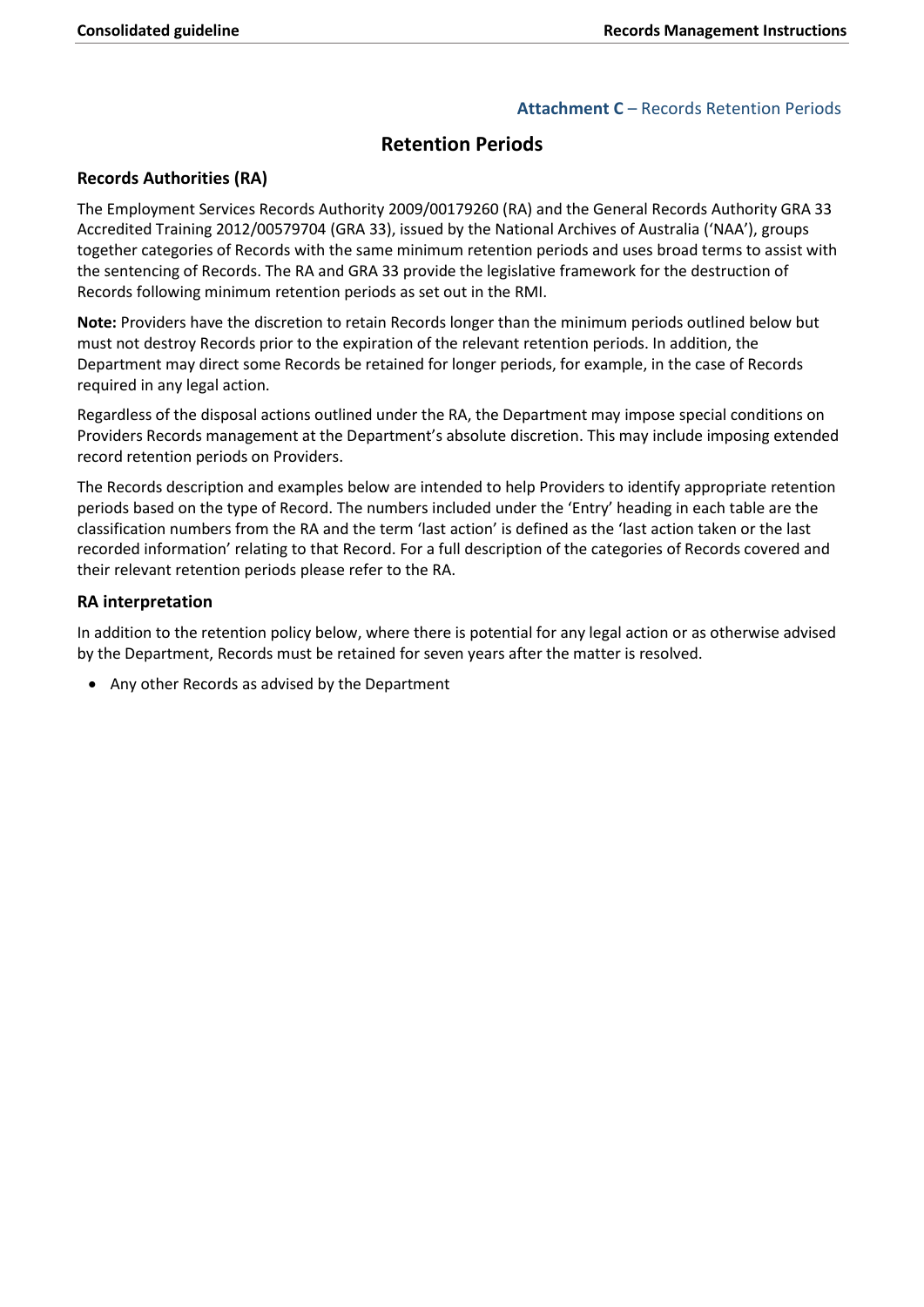#### **Attachment C** – Records Retention Periods

# **Retention Periods**

#### <span id="page-19-0"></span>**Records Authorities (RA)**

The Employment Services Records Authority 2009/00179260 (RA) and the General Records Authority GRA 33 Accredited Training 2012/00579704 (GRA 33), issued by the National Archives of Australia ('NAA'), groups together categories of Records with the same minimum retention periods and uses broad terms to assist with the sentencing of Records. The RA and GRA 33 provide the legislative framework for the destruction of Records following minimum retention periods as set out in the RMI.

**Note:** Providers have the discretion to retain Records longer than the minimum periods outlined below but must not destroy Records prior to the expiration of the relevant retention periods. In addition, the Department may direct some Records be retained for longer periods, for example, in the case of Records required in any legal action.

Regardless of the disposal actions outlined under the RA, the Department may impose special conditions on Providers Records management at the Department's absolute discretion. This may include imposing extended record retention periods on Providers.

 periods based on the type of Record. The numbers included under the 'Entry' heading in each table are the The Records description and examples below are intended to help Providers to identify appropriate retention classification numbers from the RA and the term 'last action' is defined as the 'last action taken or the last recorded information' relating to that Record. For a full description of the categories of Records covered and their relevant retention periods please refer to the RA.

#### **RA interpretation**

In addition to the retention policy below, where there is potential for any legal action or as otherwise advised by the Department, Records must be retained for seven years after the matter is resolved.

• Any other Records as advised by the Department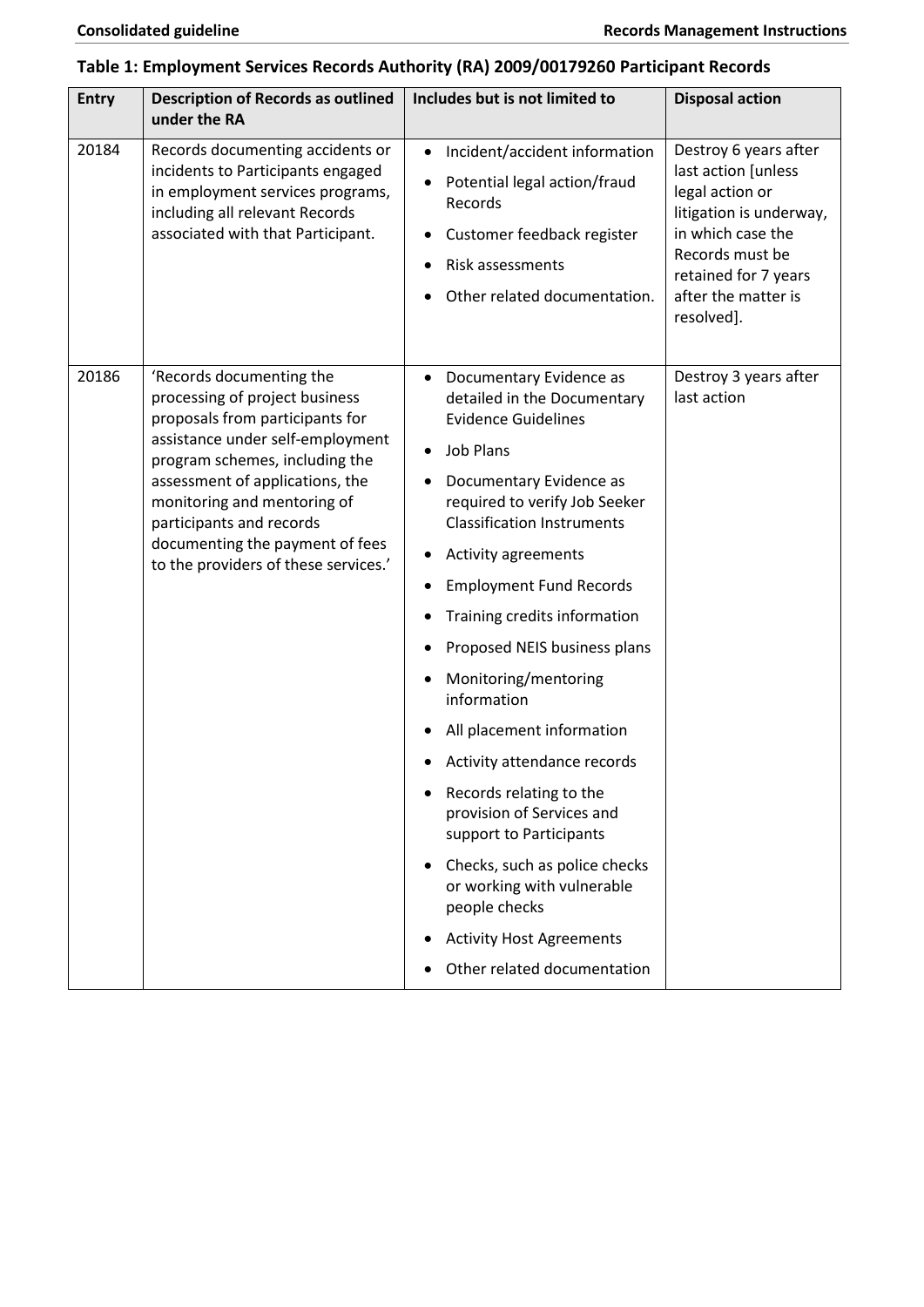# **Table 1: Employment Services Records Authority (RA) 2009/00179260 Participant Records**

| <b>Entry</b> | <b>Description of Records as outlined</b><br>under the RA                                                                                                                                                                                                                                                                                    | Includes but is not limited to                                                                                                                                                                                                                                                                                                                                                                                                                                                                                                                                                                                                                                                          | <b>Disposal action</b>                                                                                                                                                                          |
|--------------|----------------------------------------------------------------------------------------------------------------------------------------------------------------------------------------------------------------------------------------------------------------------------------------------------------------------------------------------|-----------------------------------------------------------------------------------------------------------------------------------------------------------------------------------------------------------------------------------------------------------------------------------------------------------------------------------------------------------------------------------------------------------------------------------------------------------------------------------------------------------------------------------------------------------------------------------------------------------------------------------------------------------------------------------------|-------------------------------------------------------------------------------------------------------------------------------------------------------------------------------------------------|
| 20184        | Records documenting accidents or<br>incidents to Participants engaged<br>in employment services programs,<br>including all relevant Records<br>associated with that Participant.                                                                                                                                                             | Incident/accident information<br>$\bullet$<br>Potential legal action/fraud<br>Records<br>Customer feedback register<br>Risk assessments<br>Other related documentation.                                                                                                                                                                                                                                                                                                                                                                                                                                                                                                                 | Destroy 6 years after<br>last action [unless<br>legal action or<br>litigation is underway,<br>in which case the<br>Records must be<br>retained for 7 years<br>after the matter is<br>resolved]. |
| 20186        | 'Records documenting the<br>processing of project business<br>proposals from participants for<br>assistance under self-employment<br>program schemes, including the<br>assessment of applications, the<br>monitoring and mentoring of<br>participants and records<br>documenting the payment of fees<br>to the providers of these services.' | Documentary Evidence as<br>detailed in the Documentary<br><b>Evidence Guidelines</b><br><b>Job Plans</b><br>Documentary Evidence as<br>required to verify Job Seeker<br><b>Classification Instruments</b><br>Activity agreements<br>$\bullet$<br><b>Employment Fund Records</b><br>Training credits information<br>Proposed NEIS business plans<br>Monitoring/mentoring<br>information<br>All placement information<br>Activity attendance records<br>Records relating to the<br>provision of Services and<br>support to Participants<br>Checks, such as police checks<br>or working with vulnerable<br>people checks<br><b>Activity Host Agreements</b><br>Other related documentation | Destroy 3 years after<br>last action                                                                                                                                                            |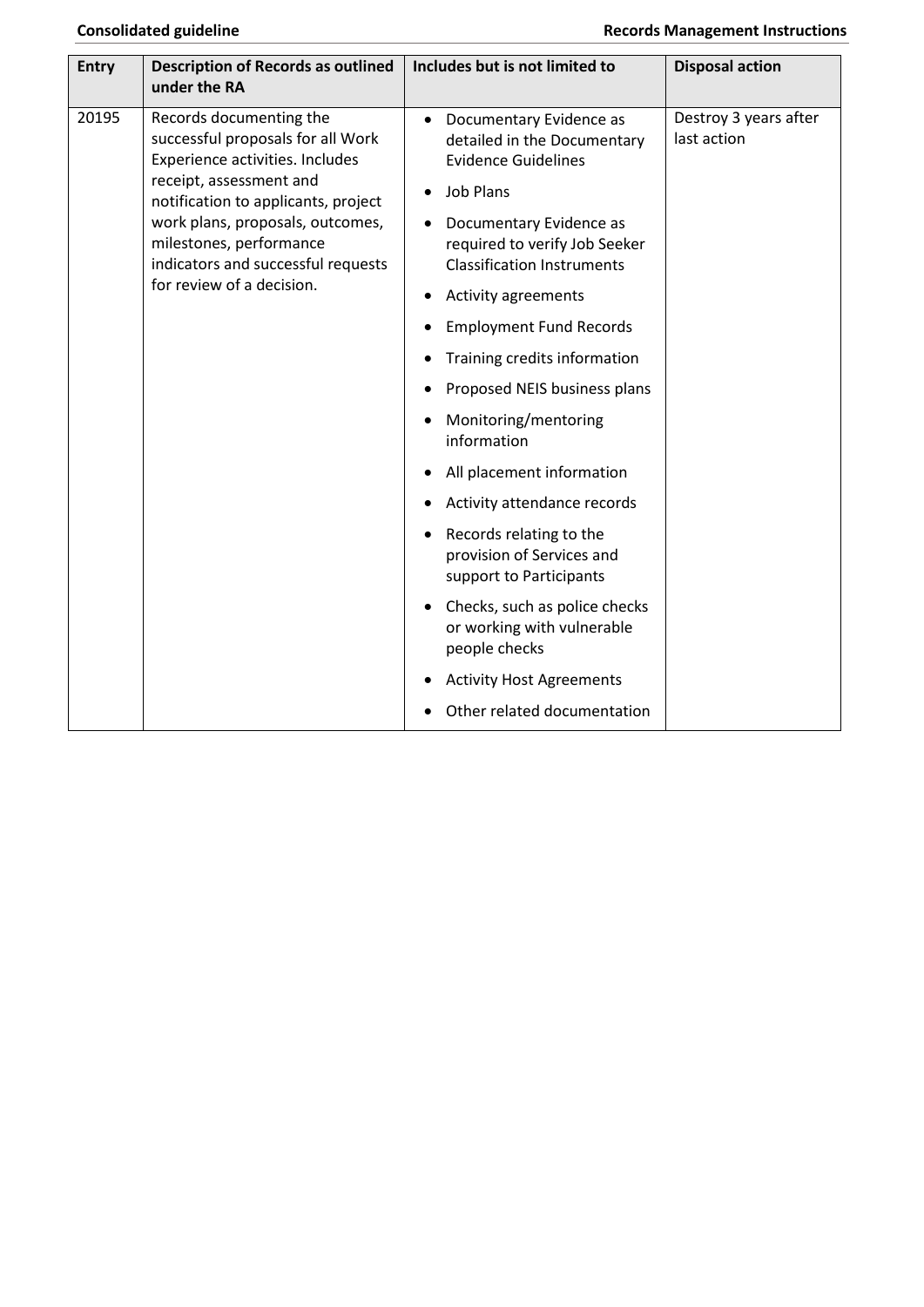| <b>Entry</b> | <b>Description of Records as outlined</b>                                                                                                                                                                                                                                                           | Includes but is not limited to                                                                                                                                                                                                                                                                                                                                                                                                                                                                                                                                                                                                                                             | <b>Disposal action</b>               |
|--------------|-----------------------------------------------------------------------------------------------------------------------------------------------------------------------------------------------------------------------------------------------------------------------------------------------------|----------------------------------------------------------------------------------------------------------------------------------------------------------------------------------------------------------------------------------------------------------------------------------------------------------------------------------------------------------------------------------------------------------------------------------------------------------------------------------------------------------------------------------------------------------------------------------------------------------------------------------------------------------------------------|--------------------------------------|
|              | under the RA                                                                                                                                                                                                                                                                                        |                                                                                                                                                                                                                                                                                                                                                                                                                                                                                                                                                                                                                                                                            |                                      |
| 20195        | Records documenting the<br>successful proposals for all Work<br>Experience activities. Includes<br>receipt, assessment and<br>notification to applicants, project<br>work plans, proposals, outcomes,<br>milestones, performance<br>indicators and successful requests<br>for review of a decision. | Documentary Evidence as<br>detailed in the Documentary<br><b>Evidence Guidelines</b><br><b>Job Plans</b><br>Documentary Evidence as<br>required to verify Job Seeker<br><b>Classification Instruments</b><br>Activity agreements<br><b>Employment Fund Records</b><br>Training credits information<br>Proposed NEIS business plans<br>Monitoring/mentoring<br>information<br>All placement information<br>Activity attendance records<br>Records relating to the<br>provision of Services and<br>support to Participants<br>Checks, such as police checks<br>or working with vulnerable<br>people checks<br><b>Activity Host Agreements</b><br>Other related documentation | Destroy 3 years after<br>last action |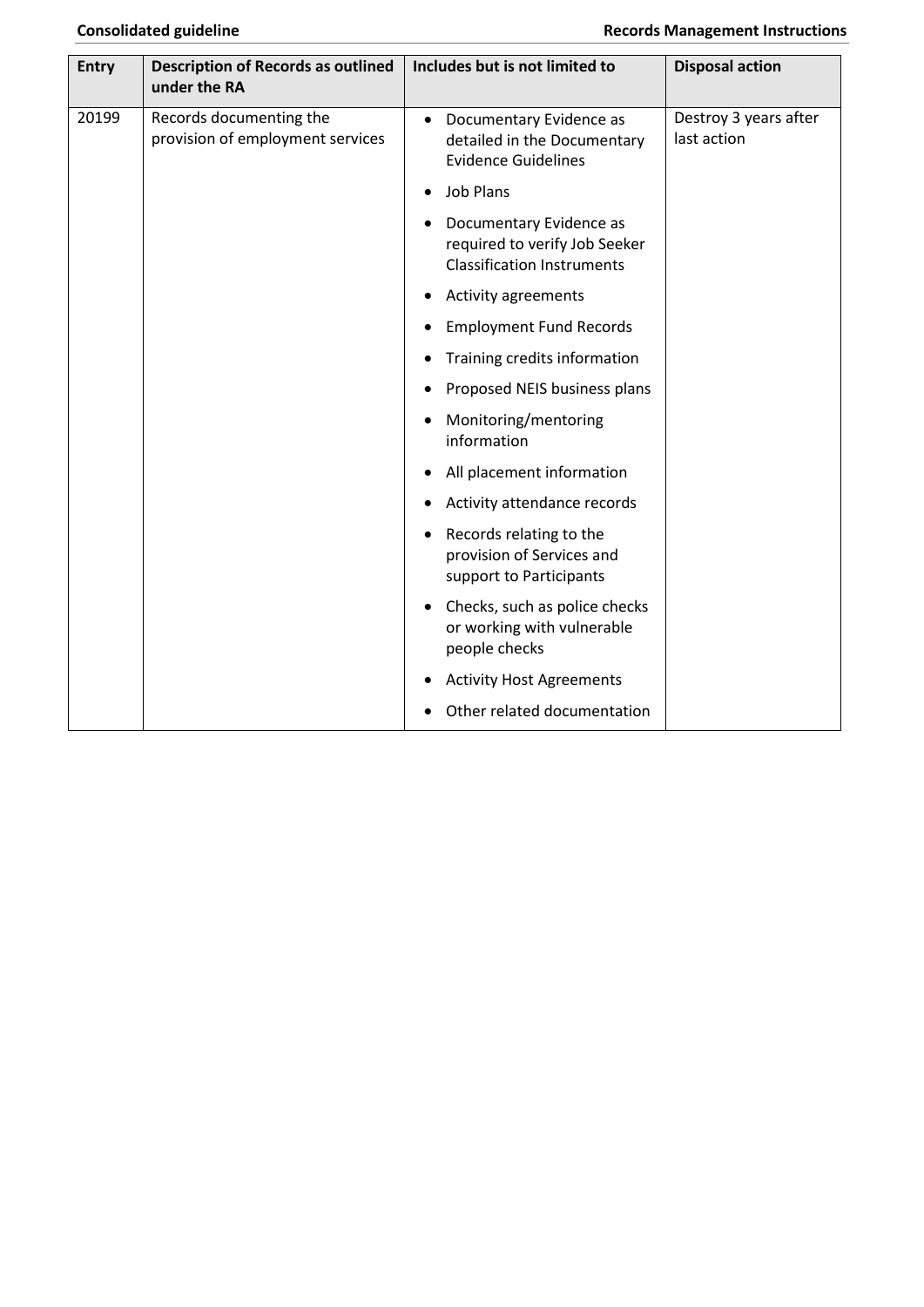| <b>Entry</b> | <b>Description of Records as outlined</b><br>under the RA   | Includes but is not limited to                                                                    | <b>Disposal action</b>               |
|--------------|-------------------------------------------------------------|---------------------------------------------------------------------------------------------------|--------------------------------------|
| 20199        | Records documenting the<br>provision of employment services | Documentary Evidence as<br>$\bullet$<br>detailed in the Documentary<br><b>Evidence Guidelines</b> | Destroy 3 years after<br>last action |
|              |                                                             | <b>Job Plans</b><br>$\bullet$                                                                     |                                      |
|              |                                                             | Documentary Evidence as<br>required to verify Job Seeker<br><b>Classification Instruments</b>     |                                      |
|              |                                                             | Activity agreements                                                                               |                                      |
|              |                                                             | <b>Employment Fund Records</b>                                                                    |                                      |
|              |                                                             | Training credits information                                                                      |                                      |
|              |                                                             | Proposed NEIS business plans                                                                      |                                      |
|              |                                                             | Monitoring/mentoring<br>information                                                               |                                      |
|              |                                                             | All placement information<br>$\bullet$                                                            |                                      |
|              |                                                             | Activity attendance records                                                                       |                                      |
|              |                                                             | Records relating to the<br>$\bullet$<br>provision of Services and<br>support to Participants      |                                      |
|              |                                                             | Checks, such as police checks<br>or working with vulnerable<br>people checks                      |                                      |
|              |                                                             | <b>Activity Host Agreements</b>                                                                   |                                      |
|              |                                                             | Other related documentation                                                                       |                                      |